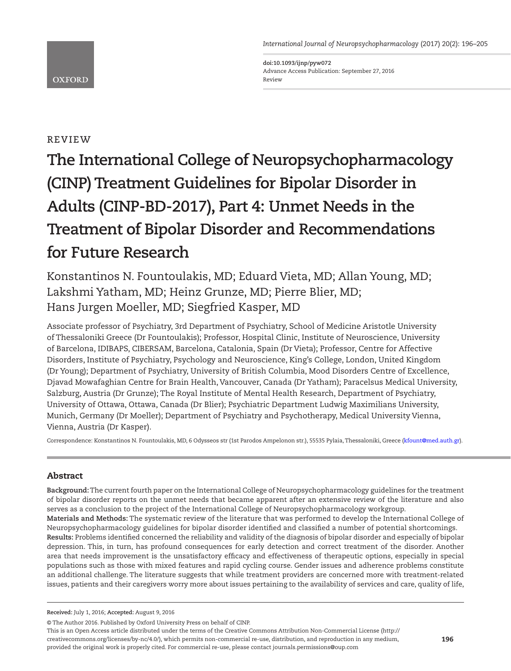*International Journal of Neuropsychopharmacology* (2017) 20(2): 196–205

**doi:10.1093/ijnp/pyw072** Advance Access Publication: September 27, 2016 Review

## **OXFORD**

## review

# **The International College of Neuropsychopharmacology (CINP) Treatment Guidelines for Bipolar Disorder in Adults (CINP-BD-2017), Part 4: Unmet Needs in the Treatment of Bipolar Disorder and Recommendations for Future Research**

Konstantinos N. Fountoulakis, MD; Eduard Vieta, MD; Allan Young, MD; Lakshmi Yatham, MD; Heinz Grunze, MD; Pierre Blier, MD; Hans Jurgen Moeller, MD; Siegfried Kasper, MD

Associate professor of Psychiatry, 3rd Department of Psychiatry, School of Medicine Aristotle University of Thessaloniki Greece (Dr Fountoulakis); Professor, Hospital Clinic, Institute of Neuroscience, University of Barcelona, IDIBAPS, CIBERSAM, Barcelona, Catalonia, Spain (Dr Vieta); Professor, Centre for Affective Disorders, Institute of Psychiatry, Psychology and Neuroscience, King's College, London, United Kingdom (Dr Young); Department of Psychiatry, University of British Columbia, Mood Disorders Centre of Excellence, Djavad Mowafaghian Centre for Brain Health, Vancouver, Canada (Dr Yatham); Paracelsus Medical University, Salzburg, Austria (Dr Grunze); The Royal Institute of Mental Health Research, Department of Psychiatry, University of Ottawa, Ottawa, Canada (Dr Blier); Psychiatric Department Ludwig Maximilians University, Munich, Germany (Dr Moeller); Department of Psychiatry and Psychotherapy, Medical University Vienna, Vienna, Austria (Dr Kasper).

Correspondence: Konstantinos N. Fountoulakis, MD, 6 Odysseos str (1st Parodos Ampelonon str.), 55535 Pylaia, Thessaloniki, Greece ([kfount@med.auth.gr\)](mailto:kfount@med.auth.gr?subject=).

## Abstract

**Background:** The current fourth paper on the International College of Neuropsychopharmacology guidelines for the treatment of bipolar disorder reports on the unmet needs that became apparent after an extensive review of the literature and also serves as a conclusion to the project of the International College of Neuropsychopharmacology workgroup. **Materials and Methods:** The systematic review of the literature that was performed to develop the International College of Neuropsychopharmacology guidelines for bipolar disorder identified and classified a number of potential shortcomings. **Results:** Problems identified concerned the reliability and validity of the diagnosis of bipolar disorder and especially of bipolar depression. This, in turn, has profound consequences for early detection and correct treatment of the disorder. Another area that needs improvement is the unsatisfactory efficacy and effectiveness of therapeutic options, especially in special populations such as those with mixed features and rapid cycling course. Gender issues and adherence problems constitute an additional challenge. The literature suggests that while treatment providers are concerned more with treatment-related issues, patients and their caregivers worry more about issues pertaining to the availability of services and care, quality of life,

This is an Open Access article distributed under the terms of the Creative Commons Attribution Non-Commercial License (http:// creativecommons.org/licenses/by-nc/4.0/), which permits non-commercial re-use, distribution, and reproduction in any medium, provided the original work is properly cited. For commercial re-use, please contact journals.permissions@oup.com

**Received:** July 1, 2016; **Accepted:** August 9, 2016

<sup>©</sup> The Author 2016. Published by Oxford University Press on behalf of CINP.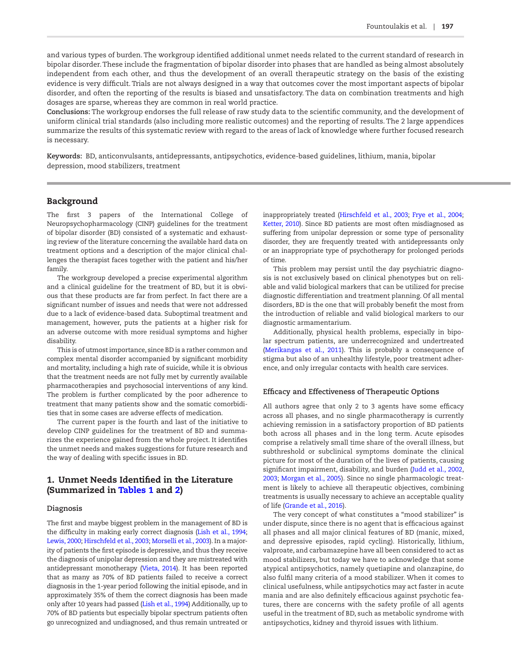and various types of burden. The workgroup identified additional unmet needs related to the current standard of research in bipolar disorder. These include the fragmentation of bipolar disorder into phases that are handled as being almost absolutely independent from each other, and thus the development of an overall therapeutic strategy on the basis of the existing evidence is very difficult. Trials are not always designed in a way that outcomes cover the most important aspects of bipolar disorder, and often the reporting of the results is biased and unsatisfactory. The data on combination treatments and high dosages are sparse, whereas they are common in real world practice.

**Conclusions:** The workgroup endorses the full release of raw study data to the scientific community, and the development of uniform clinical trial standards (also including more realistic outcomes) and the reporting of results. The 2 large appendices summarize the results of this systematic review with regard to the areas of lack of knowledge where further focused research is necessary.

**Keywords:** BD, anticonvulsants, antidepressants, antipsychotics, evidence-based guidelines, lithium, mania, bipolar depression, mood stabilizers, treatment

### Background

The first 3 papers of the International College of Neuropsychopharmacology (CINP) guidelines for the treatment of bipolar disorder (BD) consisted of a systematic and exhausting review of the literature concerning the available hard data on treatment options and a description of the major clinical challenges the therapist faces together with the patient and his/her family.

The workgroup developed a precise experimental algorithm and a clinical guideline for the treatment of BD, but it is obvious that these products are far from perfect. In fact there are a significant number of issues and needs that were not addressed due to a lack of evidence-based data. Suboptimal treatment and management, however, puts the patients at a higher risk for an adverse outcome with more residual symptoms and higher disability.

This is of utmost importance, since BD is a rather common and complex mental disorder accompanied by significant morbidity and mortality, including a high rate of suicide, while it is obvious that the treatment needs are not fully met by currently available pharmacotherapies and psychosocial interventions of any kind. The problem is further complicated by the poor adherence to treatment that many patients show and the somatic comorbidities that in some cases are adverse effects of medication.

The current paper is the fourth and last of the initiative to develop CINP guidelines for the treatment of BD and summarizes the experience gained from the whole project. It identifies the unmet needs and makes suggestions for future research and the way of dealing with specific issues in BD.

## 1. Unmet Needs Identified in the Literature (Summarized in [Tables 1](#page-3-0) and [2](#page-3-1))

#### **Diagnosis**

The first and maybe biggest problem in the management of BD is the difficulty in making early correct diagnosis [\(Lish et al., 1994;](#page-8-0) [Lewis, 2000](#page-8-1); [Hirschfeld et al., 2003](#page-8-2); [Morselli et al., 2003](#page-8-3)). In a majority of patients the first episode is depressive, and thus they receive the diagnosis of unipolar depression and they are mistreated with antidepressant monotherapy ([Vieta, 2014](#page-9-0)). It has been reported that as many as 70% of BD patients failed to receive a correct diagnosis in the 1-year period following the initial episode, and in approximately 35% of them the correct diagnosis has been made only after 10 years had passed [\(Lish et al., 1994\)](#page-8-0) Additionally, up to 70% of BD patients but especially bipolar spectrum patients often go unrecognized and undiagnosed, and thus remain untreated or

inappropriately treated [\(Hirschfeld et al., 2003;](#page-8-2) [Frye et al., 2004;](#page-7-0) [Ketter, 2010\)](#page-8-4). Since BD patients are most often misdiagnosed as suffering from unipolar depression or some type of personality disorder, they are frequently treated with antidepressants only or an inappropriate type of psychotherapy for prolonged periods of time.

This problem may persist until the day psychiatric diagnosis is not exclusively based on clinical phenotypes but on reliable and valid biological markers that can be utilized for precise diagnostic differentiation and treatment planning. Of all mental disorders, BD is the one that will probably benefit the most from the introduction of reliable and valid biological markers to our diagnostic armamentarium.

Additionally, physical health problems, especially in bipolar spectrum patients, are underrecognized and undertreated ([Merikangas et al., 2011](#page-8-5)). This is probably a consequence of stigma but also of an unhealthy lifestyle, poor treatment adherence, and only irregular contacts with health care services.

#### **Efficacy and Effectiveness of Therapeutic Options**

All authors agree that only 2 to 3 agents have some efficacy across all phases, and no single pharmacotherapy is currently achieving remission in a satisfactory proportion of BD patients both across all phases and in the long term. Acute episodes comprise a relatively small time share of the overall illness, but subthreshold or subclinical symptoms dominate the clinical picture for most of the duration of the lives of patients, causing significant impairment, disability, and burden ([Judd et al., 2002,](#page-8-6) [2003](#page-8-7); [Morgan et al., 2005\)](#page-8-8). Since no single pharmacologic treatment is likely to achieve all therapeutic objectives, combining treatments is usually necessary to achieve an acceptable quality of life [\(Grande et al., 2016](#page-7-1)).

The very concept of what constitutes a "mood stabilizer" is under dispute, since there is no agent that is efficacious against all phases and all major clinical features of BD (manic, mixed, and depressive episodes, rapid cycling). Historically, lithium, valproate, and carbamazepine have all been considered to act as mood stabilizers, but today we have to acknowledge that some atypical antipsychotics, namely quetiapine and olanzapine, do also fulfil many criteria of a mood stabilizer. When it comes to clinical usefulness, while antipsychotics may act faster in acute mania and are also definitely efficacious against psychotic features, there are concerns with the safety profile of all agents useful in the treatment of BD, such as metabolic syndrome with antipsychotics, kidney and thyroid issues with lithium.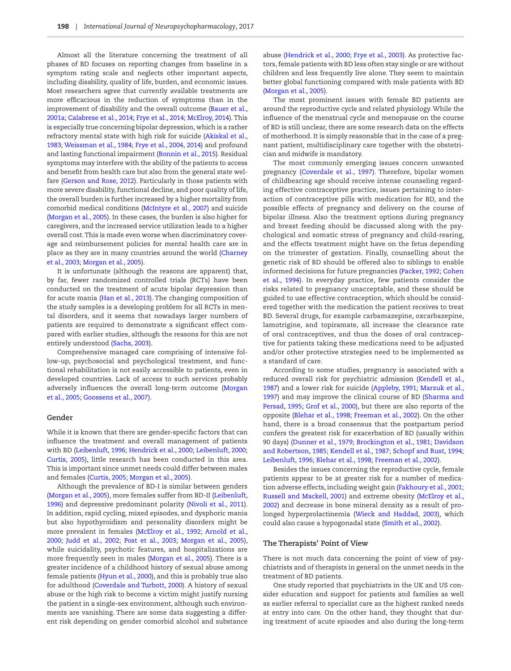Almost all the literature concerning the treatment of all phases of BD focuses on reporting changes from baseline in a symptom rating scale and neglects other important aspects, including disability, quality of life, burden, and economic issues. Most researchers agree that currently available treatments are more efficacious in the reduction of symptoms than in the improvement of disability and the overall outcome (Bauer et al., [2001a](#page-7-2); [Calabrese et al., 2014;](#page-7-3) [Frye et al., 2014](#page-7-4); [McElroy, 2014](#page-8-9)). This is especially true concerning bipolar depression, which is a rather refractory mental state with high risk for suicide [\(Akiskal et al.,](#page-7-5)  [1983](#page-7-5); [Weissman et al., 1984;](#page-9-1) [Frye et al., 2004,](#page-7-0) [2014](#page-7-4)) and profound and lasting functional impairment ([Bonnin et al., 2015](#page-7-6)). Residual symptoms may interfere with the ability of the patients to access and benefit from health care but also from the general state welfare ([Gerson and Rose, 2012](#page-7-7)). Particularly in those patients with more severe disability, functional decline, and poor quality of life, the overall burden is further increased by a higher mortality from comorbid medical conditions [\(McIntyre et al., 2007](#page-8-10)) and suicide ([Morgan et al., 2005\)](#page-8-8). In these cases, the burden is also higher for caregivers, and the increased service utilization leads to a higher overall cost. This is made even worse when discriminatory coverage and reimbursement policies for mental health care are in place as they are in many countries around the world [\(Charney](#page-7-8)  [et al., 2003;](#page-7-8) [Morgan et al., 2005\)](#page-8-8).

It is unfortunate (although the reasons are apparent) that, by far, fewer randomized controlled trials (RCTs) have been conducted on the treatment of acute bipolar depression than for acute mania [\(Han et al., 2013\)](#page-7-9). The changing composition of the study samples is a developing problem for all RCTs in mental disorders, and it seems that nowadays larger numbers of patients are required to demonstrate a significant effect compared with earlier studies, although the reasons for this are not entirely understood ([Sachs, 2003\)](#page-8-11).

Comprehensive managed care comprising of intensive follow-up, psychosocial and psychological treatment, and functional rehabilitation is not easily accessible to patients, even in developed countries. Lack of access to such services probably adversely influences the overall long-term outcome ([Morgan](#page-8-8)  [et al., 2005](#page-8-8); [Goossens et al., 2007\)](#page-7-10).

#### **Gender**

While it is known that there are gender-specific factors that can influence the treatment and overall management of patients with BD [\(Leibenluft, 1996](#page-8-12); [Hendrick et al., 2000;](#page-8-13) [Leibenluft, 2000;](#page-8-14) [Curtis, 2005\)](#page-7-11), little research has been conducted in this area. This is important since unmet needs could differ between males and females [\(Curtis, 2005](#page-7-11); [Morgan et al., 2005\)](#page-8-8).

Although the prevalence of BD-I is similar between genders [\(Morgan et al., 2005](#page-8-8)), more females suffer from BD-II ([Leibenluft,](#page-8-12)  [1996](#page-8-12)) and depressive predominant polarity [\(Nivoli et al., 2011](#page-8-15)). In addition, rapid cycling, mixed episodes, and dysphoric mania but also hypothyroidism and personality disorders might be more prevalent in females ([McElroy et al., 1992](#page-8-16); [Arnold et al.,](#page-7-12)  [2000](#page-7-12); [Judd et al., 2002](#page-8-6); [Post et al., 2003](#page-7-13); [Morgan et al., 2005](#page-8-8)), while suicidality, psychotic features, and hospitalizations are more frequently seen in males ([Morgan et al., 2005](#page-8-8)). There is a greater incidence of a childhood history of sexual abuse among female patients [\(Hyun et al., 2000\)](#page-8-17), and this is probably true also for adulthood [\(Coverdale and Turbott, 2000\)](#page-7-14). A history of sexual abuse or the high risk to become a victim might justify nursing the patient in a single-sex environment, although such environments are vanishing. There are some data suggesting a different risk depending on gender comorbid alcohol and substance

abuse ([Hendrick et al., 2000;](#page-8-13) [Frye et al., 2003](#page-7-13)). As protective factors, female patients with BD less often stay single or are without children and less frequently live alone. They seem to maintain better global functioning compared with male patients with BD [\(Morgan et al., 2005\)](#page-8-8).

The most prominent issues with female BD patients are around the reproductive cycle and related physiology. While the influence of the menstrual cycle and menopause on the course of BD is still unclear, there are some research data on the effects of motherhood. It is simply reasonable that in the case of a pregnant patient, multidisciplinary care together with the obstetrician and midwife is mandatory.

The most commonly emerging issues concern unwanted pregnancy ([Coverdale et al., 1997\)](#page-7-15). Therefore, bipolar women of childbearing age should receive intense counseling regarding effective contraceptive practice, issues pertaining to interaction of contraceptive pills with medication for BD, and the possible effects of pregnancy and delivery on the course of bipolar illness. Also the treatment options during pregnancy and breast feeding should be discussed along with the psychological and somatic stress of pregnancy and child-rearing, and the effects treatment might have on the fetus depending on the trimester of gestation. Finally, counselling about the genetic risk of BD should be offered also to siblings to enable informed decisions for future pregnancies ([Packer, 1992](#page-8-18); [Cohen](#page-7-16)  [et al., 1994](#page-7-16)). In everyday practice, few patients consider the risks related to pregnancy unacceptable, and these should be guided to use effective contraception, which should be considered together with the medication the patient receives to treat BD. Several drugs, for example carbamazepine, oxcarbazepine, lamotrigine, and topiramate, all increase the clearance rate of oral contraceptives, and thus the doses of oral contraceptive for patients taking these medications need to be adjusted and/or other protective strategies need to be implemented as a standard of care.

According to some studies, pregnancy is associated with a reduced overall risk for psychiatric admission ([Kendell et al.,](#page-8-19)  [1987](#page-8-19)) and a lower risk for suicide [\(Appleby, 1991](#page-7-17); [Marzuk et al.,](#page-8-20)  [1997](#page-8-20)) and may improve the clinical course of BD ([Sharma and](#page-8-21)  [Persad, 1995](#page-8-21); [Grof et al., 2000\)](#page-7-18), but there are also reports of the opposite ([Blehar et al., 1998](#page-7-19); [Freeman et al., 2002\)](#page-7-20). On the other hand, there is a broad consensus that the postpartum period confers the greatest risk for exacerbation of BD (usually within 90 days) [\(Dunner et al., 1979](#page-7-21); [Brockington et al., 1981;](#page-7-22) [Davidson](#page-7-23)  [and Robertson, 1985;](#page-7-23) [Kendell et al., 1987;](#page-8-19) [Schopf and Rust, 1994;](#page-8-22) [Leibenluft, 1996](#page-8-12); [Blehar et al., 1998;](#page-7-19) [Freeman et al., 2002\)](#page-7-20).

Besides the issues concerning the reproductive cycle, female patients appear to be at greater risk for a number of medication adverse effects, including weight gain ([Fakhoury et al., 2001;](#page-7-24) [Russell and Mackell, 2001\)](#page-8-23) and extreme obesity [\(McElroy et al.,](#page-7-20)  [2002](#page-7-20)) and decrease in bone mineral density as a result of prolonged hyperprolactinemia [\(Wieck and Haddad, 2003\)](#page-9-2), which could also cause a hypogonadal state ([Smith et al., 2002](#page-7-20)).

#### **The Therapists' Point of View**

There is not much data concerning the point of view of psychiatrists and of therapists in general on the unmet needs in the treatment of BD patients.

One study reported that psychiatrists in the UK and US consider education and support for patients and families as well as earlier referral to specialist care as the highest ranked needs at entry into care. On the other hand, they thought that during treatment of acute episodes and also during the long-term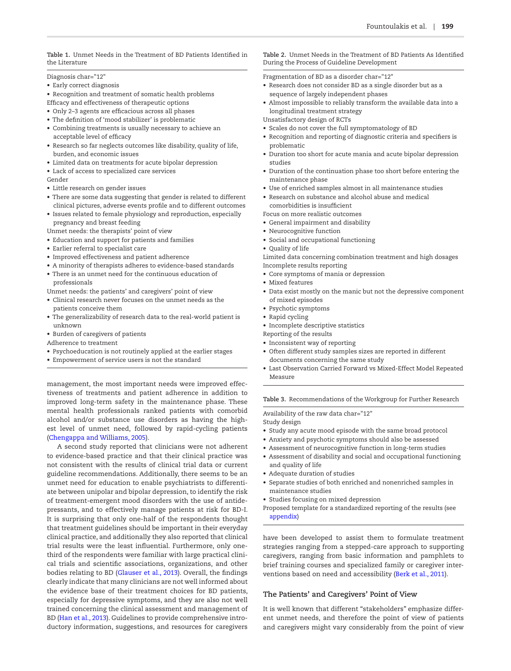<span id="page-3-0"></span>**Table 1.** Unmet Needs in the Treatment of BD Patients Identified in the Literature

Diagnosis char="12"

- Early correct diagnosis
- Recognition and treatment of somatic health problems
- Efficacy and effectiveness of therapeutic options
- Only 2–3 agents are efficacious across all phases
- The definition of 'mood stabilizer' is problematic
- Combining treatments is usually necessary to achieve an acceptable level of efficacy
- Research so far neglects outcomes like disability, quality of life, burden, and economic issues
- Limited data on treatments for acute bipolar depression
- Lack of access to specialized care services
- Gender
- Little research on gender issues
- There are some data suggesting that gender is related to different clinical pictures, adverse events profile and to different outcomes
- Issues related to female physiology and reproduction, especially pregnancy and breast feeding
- Unmet needs: the therapists' point of view
- Education and support for patients and families
- Earlier referral to specialist care
- Improved effectiveness and patient adherence
- A minority of therapists adheres to evidence-based standards
- There is an unmet need for the continuous education of professionals
- Unmet needs: the patients' and caregivers' point of view
- Clinical research never focuses on the unmet needs as the patients conceive them
- The generalizability of research data to the real-world patient is unknown
- Burden of caregivers of patients
- Adherence to treatment
- Psychoeducation is not routinely applied at the earlier stages
- Empowerment of service users is not the standard

management, the most important needs were improved effectiveness of treatments and patient adherence in addition to improved long-term safety in the maintenance phase. These mental health professionals ranked patients with comorbid alcohol and/or substance use disorders as having the highest level of unmet need, followed by rapid-cycling patients ([Chengappa and Williams, 2005\)](#page-7-25).

A second study reported that clinicians were not adherent to evidence-based practice and that their clinical practice was not consistent with the results of clinical trial data or current guideline recommendations. Additionally, there seems to be an unmet need for education to enable psychiatrists to differentiate between unipolar and bipolar depression, to identify the risk of treatment-emergent mood disorders with the use of antidepressants, and to effectively manage patients at risk for BD-I. It is surprising that only one-half of the respondents thought that treatment guidelines should be important in their everyday clinical practice, and additionally they also reported that clinical trial results were the least influential. Furthermore, only onethird of the respondents were familiar with large practical clinical trials and scientific associations, organizations, and other bodies relating to BD [\(Glauser et al., 2013](#page-7-26)). Overall, the findings clearly indicate that many clinicians are not well informed about the evidence base of their treatment choices for BD patients, especially for depressive symptoms, and they are also not well trained concerning the clinical assessment and management of BD [\(Han et al., 2013](#page-7-9)). Guidelines to provide comprehensive introductory information, suggestions, and resources for caregivers

<span id="page-3-1"></span>**Table 2.** Unmet Needs in the Treatment of BD Patients As Identified During the Process of Guideline Development

Fragmentation of BD as a disorder char="12"

- Research does not consider BD as a single disorder but as a sequence of largely independent phases
- Almost impossible to reliably transform the available data into a longitudinal treatment strategy
- Unsatisfactory design of RCTs
- Scales do not cover the full symptomatology of BD
- Recognition and reporting of diagnostic criteria and specifiers is problematic
- Duration too short for acute mania and acute bipolar depression studies
- Duration of the continuation phase too short before entering the maintenance phase
- Use of enriched samples almost in all maintenance studies
- Research on substance and alcohol abuse and medical comorbidities is insufficient

Focus on more realistic outcomes

- General impairment and disability
- Neurocognitive function
- Social and occupational functioning
- Quality of life

Limited data concerning combination treatment and high dosages Incomplete results reporting

- Core symptoms of mania or depression
- Mixed features
- Data exist mostly on the manic but not the depressive component of mixed episodes
- Psychotic symptoms
- Rapid cycling
- Incomplete descriptive statistics
- Reporting of the results
- Inconsistent way of reporting
- Often different study samples sizes are reported in different documents concerning the same study
- Last Observation Carried Forward vs Mixed-Effect Model Repeated Measure

<span id="page-3-2"></span>**Table 3.** Recommendations of the Workgroup for Further Research

Availability of the raw data char="12" Study design

- Study any acute mood episode with the same broad protocol
- Anxiety and psychotic symptoms should also be assessed
- Assessment of neurocognitive function in long-term studies
- Assessment of disability and social and occupational functioning and quality of life
- Adequate duration of studies
- Separate studies of both enriched and nonenriched samples in maintenance studies
- Studies focusing on mixed depression
- Proposed template for a standardized reporting of the results (see [appendix](http://ijnp.oxfordjournals.org/lookup/suppl/doi:10.1093/ijnp/pyw072/-/DC1))

have been developed to assist them to formulate treatment strategies ranging from a stepped-care approach to supporting caregivers, ranging from basic information and pamphlets to brief training courses and specialized family or caregiver interventions based on need and accessibility [\(Berk et al., 2011](#page-7-27)).

#### **The Patients' and Caregivers' Point of View**

It is well known that different "stakeholders" emphasize different unmet needs, and therefore the point of view of patients and caregivers might vary considerably from the point of view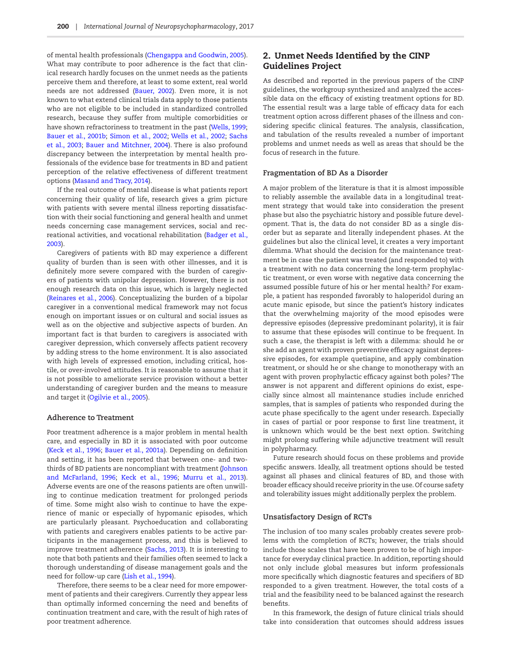of mental health professionals [\(Chengappa and Goodwin, 2005](#page-7-28)). What may contribute to poor adherence is the fact that clinical research hardly focuses on the unmet needs as the patients perceive them and therefore, at least to some extent, real world needs are not addressed [\(Bauer, 2002\)](#page-7-29). Even more, it is not known to what extend clinical trials data apply to those patients who are not eligible to be included in standardized controlled research, because they suffer from multiple comorbidities or have shown refractoriness to treatment in the past ([Wells, 1999;](#page-9-3) [Bauer et al., 2001b](#page-7-30); [Simon et al., 2002;](#page-9-4) [Wells et al., 2002](#page-9-5); [Sachs](#page-8-24)  [et al., 2003](#page-8-24); [Bauer and Mitchner, 2004](#page-7-31)). There is also profound discrepancy between the interpretation by mental health professionals of the evidence base for treatments in BD and patient perception of the relative effectiveness of different treatment options ([Masand and Tracy, 2014\)](#page-8-25).

If the real outcome of mental disease is what patients report concerning their quality of life, research gives a grim picture with patients with severe mental illness reporting dissatisfaction with their social functioning and general health and unmet needs concerning case management services, social and recreational activities, and vocational rehabilitation [\(Badger et al.,](#page-7-32)  [2003](#page-7-32)).

Caregivers of patients with BD may experience a different quality of burden than is seen with other illnesses, and it is definitely more severe compared with the burden of caregivers of patients with unipolar depression. However, there is not enough research data on this issue, which is largely neglected ([Reinares et al., 2006\)](#page-8-26). Conceptualizing the burden of a bipolar caregiver in a conventional medical framework may not focus enough on important issues or on cultural and social issues as well as on the objective and subjective aspects of burden. An important fact is that burden to caregivers is associated with caregiver depression, which conversely affects patient recovery by adding stress to the home environment. It is also associated with high levels of expressed emotion, including critical, hostile, or over-involved attitudes. It is reasonable to assume that it is not possible to ameliorate service provision without a better understanding of caregiver burden and the means to measure and target it [\(Ogilvie et al., 2005](#page-8-27)).

#### **Adherence to Treatment**

Poor treatment adherence is a major problem in mental health care, and especially in BD it is associated with poor outcome ([Keck et al., 1996](#page-8-28); [Bauer et al., 2001a\)](#page-7-2). Depending on definition and setting, it has been reported that between one- and twothirds of BD patients are noncompliant with treatment ([Johnson](#page-8-29)  [and McFarland, 1996;](#page-8-29) [Keck et al., 1996;](#page-8-28) [Murru et al., 2013](#page-8-30)). Adverse events are one of the reasons patients are often unwilling to continue medication treatment for prolonged periods of time. Some might also wish to continue to have the experience of manic or especially of hypomanic episodes, which are particularly pleasant. Psychoeducation and collaborating with patients and caregivers enables patients to be active participants in the management process, and this is believed to improve treatment adherence ([Sachs, 2013](#page-8-31)). It is interesting to note that both patients and their families often seemed to lack a thorough understanding of disease management goals and the need for follow-up care ([Lish et al., 1994\)](#page-8-0).

Therefore, there seems to be a clear need for more empowerment of patients and their caregivers. Currently they appear less than optimally informed concerning the need and benefits of continuation treatment and care, with the result of high rates of poor treatment adherence.

## 2. Unmet Needs Identified by the CINP Guidelines Project

As described and reported in the previous papers of the CINP guidelines, the workgroup synthesized and analyzed the accessible data on the efficacy of existing treatment options for BD. The essential result was a large table of efficacy data for each treatment option across different phases of the illness and considering specific clinical features. The analysis, classification, and tabulation of the results revealed a number of important problems and unmet needs as well as areas that should be the focus of research in the future.

#### **Fragmentation of BD As a Disorder**

A major problem of the literature is that it is almost impossible to reliably assemble the available data in a longitudinal treatment strategy that would take into consideration the present phase but also the psychiatric history and possible future development. That is, the data do not consider BD as a single disorder but as separate and literally independent phases. At the guidelines but also the clinical level, it creates a very important dilemma. What should the decision for the maintenance treatment be in case the patient was treated (and responded to) with a treatment with no data concerning the long-term prophylactic treatment, or even worse with negative data concerning the assumed possible future of his or her mental health? For example, a patient has responded favorably to haloperidol during an acute manic episode, but since the patient's history indicates that the overwhelming majority of the mood episodes were depressive episodes (depressive predominant polarity), it is fair to assume that these episodes will continue to be frequent. In such a case, the therapist is left with a dilemma: should he or she add an agent with proven preventive efficacy against depressive episodes, for example quetiapine, and apply combination treatment, or should he or she change to monotherapy with an agent with proven prophylactic efficacy against both poles? The answer is not apparent and different opinions do exist, especially since almost all maintenance studies include enriched samples, that is samples of patients who responded during the acute phase specifically to the agent under research. Especially in cases of partial or poor response to first line treatment, it is unknown which would be the best next option. Switching might prolong suffering while adjunctive treatment will result in polypharmacy.

Future research should focus on these problems and provide specific answers. Ideally, all treatment options should be tested against all phases and clinical features of BD, and those with broader efficacy should receive priority in the use. Of course safety and tolerability issues might additionally perplex the problem.

#### **Unsatisfactory Design of RCTs**

The inclusion of too many scales probably creates severe problems with the completion of RCTs; however, the trials should include those scales that have been proven to be of high importance for everyday clinical practice. In addition, reporting should not only include global measures but inform professionals more specifically which diagnostic features and specifiers of BD responded to a given treatment. However, the total costs of a trial and the feasibility need to be balanced against the research benefits.

In this framework, the design of future clinical trials should take into consideration that outcomes should address issues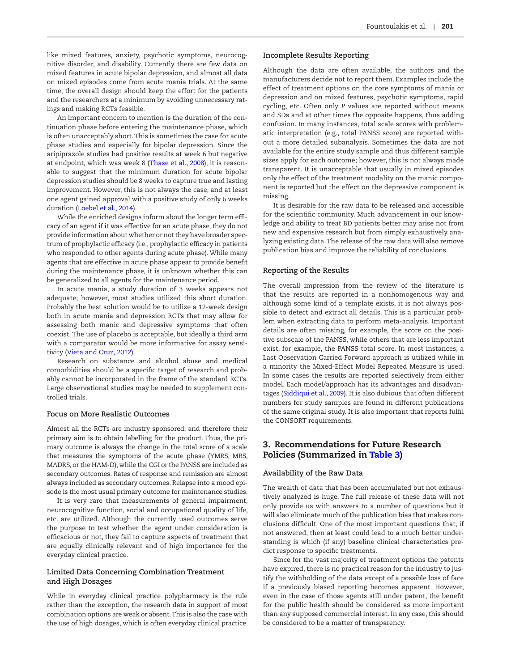like mixed features, anxiety, psychotic symptoms, neurocognitive disorder, and disability. Currently there are few data on mixed features in acute bipolar depression, and almost all data on mixed episodes come from acute mania trials. At the same time, the overall design should keep the effort for the patients and the researchers at a minimum by avoiding unnecessary ratings and making RCTs feasible.

An important concern to mention is the duration of the continuation phase before entering the maintenance phase, which is often unacceptably short. This is sometimes the case for acute phase studies and especially for bipolar depression. Since the aripiprazole studies had positive results at week 6 but negative at endpoint, which was week 8 [\(Thase et al., 2008](#page-9-6)), it is reasonable to suggest that the minimum duration for acute bipolar depression studies should be 8 weeks to capture true and lasting improvement. However, this is not always the case, and at least one agent gained approval with a positive study of only 6 weeks duration ([Loebel et al., 2014](#page-8-32)).

While the enriched designs inform about the longer term efficacy of an agent if it was effective for an acute phase, they do not provide information about whether or not they have broader spectrum of prophylactic efficacy (i.e., prophylactic efficacy in patients who responded to other agents during acute phase). While many agents that are effective in acute phase appear to provide benefit during the maintenance phase, it is unknown whether this can be generalized to all agents for the maintenance period.

In acute mania, a study duration of 3 weeks appears not adequate; however, most studies utilized this short duration. Probably the best solution would be to utilize a 12-week design both in acute mania and depression RCTs that may allow for assessing both manic and depressive symptoms that often coexist. The use of placebo is acceptable, but ideally a third arm with a comparator would be more informative for assay sensitivity [\(Vieta and Cruz, 2012](#page-9-7)).

Research on substance and alcohol abuse and medical comorbidities should be a specific target of research and probably cannot be incorporated in the frame of the standard RCTs. Large observational studies may be needed to supplement controlled trials.

#### **Focus on More Realistic Outcomes**

Almost all the RCTs are industry sponsored, and therefore their primary aim is to obtain labelling for the product. Thus, the primary outcome is always the change in the total score of a scale that measures the symptoms of the acute phase (YMRS, MRS, MADRS, or the HAM-D), while the CGI or the PANSS are included as secondary outcomes. Rates of response and remission are almost always included as secondary outcomes. Relapse into a mood episode is the most usual primary outcome for maintenance studies.

It is very rare that measurements of general impairment, neurocognitive function, social and occupational quality of life, etc. are utilized. Although the currently used outcomes serve the purpose to test whether the agent under consideration is efficacious or not, they fail to capture aspects of treatment that are equally clinically relevant and of high importance for the everyday clinical practice.

#### **Limited Data Concerning Combination Treatment and High Dosages**

While in everyday clinical practice polypharmacy is the rule rather than the exception, the research data in support of most combination options are weak or absent. This is also the case with the use of high dosages, which is often everyday clinical practice.

#### **Incomplete Results Reporting**

Although the data are often available, the authors and the manufacturers decide not to report them. Examples include the effect of treatment options on the core symptoms of mania or depression and on mixed features, psychotic symptoms, rapid cycling, etc. Often only *P* values are reported without means and SDs and at other times the opposite happens, thus adding confusion. In many instances, total scale scores with problematic interpretation (e.g., total PANSS score) are reported without a more detailed subanalysis. Sometimes the data are not available for the entire study sample and thus different sample sizes apply for each outcome; however, this is not always made transparent. It is unacceptable that usually in mixed episodes only the effect of the treatment modality on the manic component is reported but the effect on the depressive component is missing.

It is desirable for the raw data to be released and accessible for the scientific community. Much advancement in our knowledge and ability to treat BD patients better may arise not from new and expensive research but from simply exhaustively analyzing existing data. The release of the raw data will also remove publication bias and improve the reliability of conclusions.

#### **Reporting of the Results**

The overall impression from the review of the literature is that the results are reported in a nonhomogenous way and although some kind of a template exists, it is not always possible to detect and extract all details. This is a particular problem when extracting data to perform meta-analysis. Important details are often missing, for example, the score on the positive subscale of the PANSS, while others that are less important exist, for example, the PANSS total score. In most instances, a Last Observation Carried Forward approach is utilized while in a minority the Mixed-Effect Model Repeated Measure is used. In some cases the results are reported selectively from either model. Each model/approach has its advantages and disadvantages [\(Siddiqui et al., 2009\)](#page-8-33). It is also dubious that often different numbers for study samples are found in different publications of the same original study. It is also important that reports fulfil the CONSORT requirements.

## 3. Recommendations for Future Research Policies (Summarized in [Table 3](#page-3-2))

### **Availability of the Raw Data**

The wealth of data that has been accumulated but not exhaustively analyzed is huge. The full release of these data will not only provide us with answers to a number of questions but it will also eliminate much of the publication bias that makes conclusions difficult. One of the most important questions that, if not answered, then at least could lead to a much better understanding is which (if any) baseline clinical characteristics predict response to specific treatments.

Since for the vast majority of treatment options the patents have expired, there is no practical reason for the industry to justify the withholding of the data except of a possible loss of face if a previously biased reporting becomes apparent. However, even in the case of those agents still under patent, the benefit for the public health should be considered as more important than any supposed commercial interest. In any case, this should be considered to be a matter of transparency.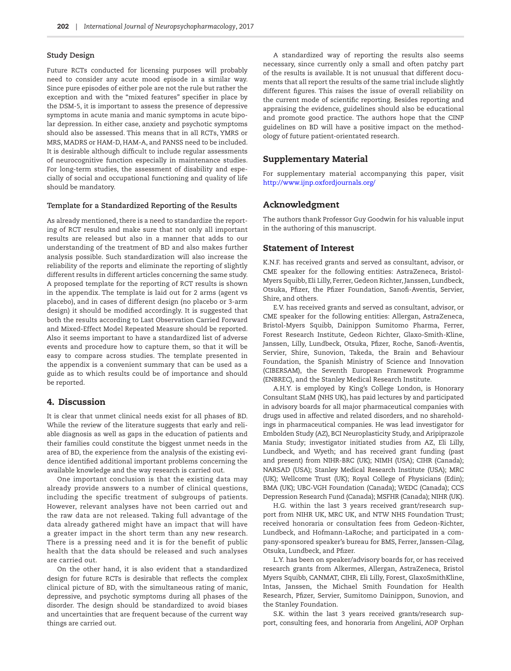#### **Study Design**

Future RCTs conducted for licensing purposes will probably need to consider any acute mood episode in a similar way. Since pure episodes of either pole are not the rule but rather the exception and with the "mixed features" specifier in place by the DSM-5, it is important to assess the presence of depressive symptoms in acute mania and manic symptoms in acute bipolar depression. In either case, anxiety and psychotic symptoms should also be assessed. This means that in all RCTs, YMRS or MRS, MADRS or HAM-D, HAM-A, and PANSS need to be included. It is desirable although difficult to include regular assessments of neurocognitive function especially in maintenance studies. For long-term studies, the assessment of disability and especially of social and occupational functioning and quality of life should be mandatory.

#### **Template for a Standardized Reporting of the Results**

As already mentioned, there is a need to standardize the reporting of RCT results and make sure that not only all important results are released but also in a manner that adds to our understanding of the treatment of BD and also makes further analysis possible. Such standardization will also increase the reliability of the reports and eliminate the reporting of slightly different results in different articles concerning the same study. A proposed template for the reporting of RCT results is shown in the appendix. The template is laid out for 2 arms (agent vs placebo), and in cases of different design (no placebo or 3-arm design) it should be modified accordingly. It is suggested that both the results according to Last Observation Carried Forward and Mixed-Effect Model Repeated Measure should be reported. Also it seems important to have a standardized list of adverse events and procedure how to capture them, so that it will be easy to compare across studies. The template presented in the appendix is a convenient summary that can be used as a guide as to which results could be of importance and should be reported.

### 4. Discussion

It is clear that unmet clinical needs exist for all phases of BD. While the review of the literature suggests that early and reliable diagnosis as well as gaps in the education of patients and their families could constitute the biggest unmet needs in the area of BD, the experience from the analysis of the existing evidence identified additional important problems concerning the available knowledge and the way research is carried out.

One important conclusion is that the existing data may already provide answers to a number of clinical questions, including the specific treatment of subgroups of patients. However, relevant analyses have not been carried out and the raw data are not released. Taking full advantage of the data already gathered might have an impact that will have a greater impact in the short term than any new research. There is a pressing need and it is for the benefit of public health that the data should be released and such analyses are carried out.

On the other hand, it is also evident that a standardized design for future RCTs is desirable that reflects the complex clinical picture of BD, with the simultaneous rating of manic, depressive, and psychotic symptoms during all phases of the disorder. The design should be standardized to avoid biases and uncertainties that are frequent because of the current way things are carried out.

A standardized way of reporting the results also seems necessary, since currently only a small and often patchy part of the results is available. It is not unusual that different documents that all report the results of the same trial include slightly different figures. This raises the issue of overall reliability on the current mode of scientific reporting. Besides reporting and appraising the evidence, guidelines should also be educational and promote good practice. The authors hope that the CINP guidelines on BD will have a positive impact on the methodology of future patient-orientated research.

#### Supplementary Material

For supplementary material accompanying this paper, visit [http://www.ijnp.oxfordjournals.org/](http://ijnp.oxfordjournals.org/lookup/suppl/doi:10.1093/ijnp/pyw072/-/DC1)

### Acknowledgment

The authors thank Professor Guy Goodwin for his valuable input in the authoring of this manuscript.

#### Statement of Interest

K.N.F. has received grants and served as consultant, advisor, or CME speaker for the following entities: AstraZeneca, Bristol-Myers Squibb, Eli Lilly, Ferrer, Gedeon Richter, Janssen, Lundbeck, Otsuka, Pfizer, the Pfizer Foundation, Sanofi-Aventis, Servier, Shire, and others.

E.V. has received grants and served as consultant, advisor, or CME speaker for the following entities: Allergan, AstraZeneca, Bristol-Myers Squibb, Dainippon Sumitomo Pharma, Ferrer, Forest Research Institute, Gedeon Richter, Glaxo-Smith-Kline, Janssen, Lilly, Lundbeck, Otsuka, Pfizer, Roche, Sanofi-Aventis, Servier, Shire, Sunovion, Takeda, the Brain and Behaviour Foundation, the Spanish Ministry of Science and Innovation (CIBERSAM), the Seventh European Framework Programme (ENBREC), and the Stanley Medical Research Institute.

A.H.Y. is employed by King's College London, is Honorary Consultant SLaM (NHS UK), has paid lectures by and participated in advisory boards for all major pharmaceutical companies with drugs used in affective and related disorders, and no shareholdings in pharmaceutical companies. He was lead investigator for Embolden Study (AZ), BCI Neuroplasticity Study, and Aripiprazole Mania Study; investigator initiated studies from AZ, Eli Lilly, Lundbeck, and Wyeth; and has received grant funding (past and present) from NIHR-BRC (UK); NIMH (USA); CIHR (Canada); NARSAD (USA); Stanley Medical Research Institute (USA); MRC (UK); Wellcome Trust (UK); Royal College of Physicians (Edin); BMA (UK); UBC-VGH Foundation (Canada); WEDC (Canada); CCS Depression Research Fund (Canada); MSFHR (Canada); NIHR (UK).

H.G. within the last 3 years received grant/research support from NIHR UK, MRC UK, and NTW NHS Foundation Trust; received honoraria or consultation fees from Gedeon-Richter, Lundbeck, and Hofmann-LaRoche; and participated in a company-sponsored speaker's bureau for BMS, Ferrer, Janssen-Cilag, Otsuka, Lundbeck, and Pfizer.

L.Y. has been on speaker/advisory boards for, or has received research grants from Alkermes, Allergan, AstraZeneca, Bristol Myers Squibb, CANMAT, CIHR, Eli Lilly, Forest, GlaxoSmithKline, Intas, Janssen, the Michael Smith Foundation for Health Research, Pfizer, Servier, Sumitomo Dainippon, Sunovion, and the Stanley Foundation.

S.K. within the last 3 years received grants/research support, consulting fees, and honoraria from Angelini, AOP Orphan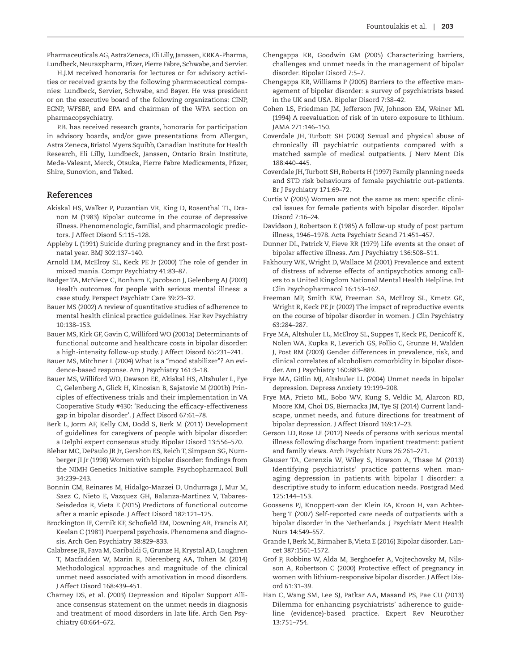Pharmaceuticals AG, AstraZeneca, Eli Lilly, Janssen, KRKA-Pharma, Lundbeck, Neuraxpharm, Pfizer, Pierre Fabre, Schwabe, and Servier.

H.J.M received honoraria for lectures or for advisory activities or received grants by the following pharmaceutical companies: Lundbeck, Servier, Schwabe, and Bayer. He was president or on the executive board of the following organizations: CINP, ECNP, WFSBP, and EPA and chairman of the WPA section on pharmacopsychiatry.

P.B. has received research grants, honoraria for participation in advisory boards, and/or gave presentations from Allergan, Astra Zeneca, Bristol Myers Squibb, Canadian Institute for Health Research, Eli Lilly, Lundbeck, Janssen, Ontario Brain Institute, Meda-Valeant, Merck, Otsuka, Pierre Fabre Medicaments, Pfizer, Shire, Sunovion, and Taked.

#### **References**

- <span id="page-7-5"></span>Akiskal HS, Walker P, Puzantian VR, King D, Rosenthal TL, Dranon M (1983) Bipolar outcome in the course of depressive illness. Phenomenologic, familial, and pharmacologic predictors. J Affect Disord 5:115–128.
- <span id="page-7-17"></span>Appleby L (1991) Suicide during pregnancy and in the first postnatal year. BMJ 302:137–140.
- <span id="page-7-12"></span>Arnold LM, McElroy SL, Keck PE Jr (2000) The role of gender in mixed mania. Compr Psychiatry 41:83–87.
- <span id="page-7-32"></span>Badger TA, McNiece C, Bonham E, Jacobson J, Gelenberg AJ (2003) Health outcomes for people with serious mental illness: a case study. Perspect Psychiatr Care 39:23–32.
- <span id="page-7-29"></span>Bauer MS (2002) A review of quantitative studies of adherence to mental health clinical practice guidelines. Har Rev Psychiatry 10:138–153.
- <span id="page-7-2"></span>Bauer MS, Kirk GF, Gavin C, Williford WO (2001a) Determinants of functional outcome and healthcare costs in bipolar disorder: a high-intensity follow-up study. J Affect Disord 65:231–241.
- <span id="page-7-31"></span>Bauer MS, Mitchner L (2004) What is a "mood stabilizer"? An evidence-based response. Am J Psychiatry 161:3–18.
- <span id="page-7-30"></span>Bauer MS, Williford WO, Dawson EE, Akiskal HS, Altshuler L, Fye C, Gelenberg A, Glick H, Kinosian B, Sajatovic M (2001b) Principles of effectiveness trials and their implementation in VA Cooperative Study #430: 'Reducing the efficacy-effectiveness gap in bipolar disorder'. J Affect Disord 67:61–78.
- <span id="page-7-27"></span>Berk L, Jorm AF, Kelly CM, Dodd S, Berk M (2011) Development of guidelines for caregivers of people with bipolar disorder: a Delphi expert consensus study. Bipolar Disord 13:556–570.
- <span id="page-7-19"></span>Blehar MC, DePaulo JR Jr, Gershon ES, Reich T, Simpson SG, Nurnberger JI Jr (1998) Women with bipolar disorder: findings from the NIMH Genetics Initiative sample. Psychopharmacol Bull 34:239–243.
- <span id="page-7-6"></span>Bonnin CM, Reinares M, Hidalgo-Mazzei D, Undurraga J, Mur M, Saez C, Nieto E, Vazquez GH, Balanza-Martinez V, Tabares-Seisdedos R, Vieta E (2015) Predictors of functional outcome after a manic episode. J Affect Disord 182:121–125.
- <span id="page-7-22"></span>Brockington IF, Cernik KF, Schofield EM, Downing AR, Francis AF, Keelan C (1981) Puerperal psychosis. Phenomena and diagnosis. Arch Gen Psychiatry 38:829–833.
- <span id="page-7-3"></span>Calabrese JR, Fava M, Garibaldi G, Grunze H, Krystal AD, Laughren T, Macfadden W, Marin R, Nierenberg AA, Tohen M (2014) Methodological approaches and magnitude of the clinical unmet need associated with amotivation in mood disorders. J Affect Disord 168:439–451.
- <span id="page-7-8"></span>Charney DS, et al. (2003) Depression and Bipolar Support Alliance consensus statement on the unmet needs in diagnosis and treatment of mood disorders in late life. Arch Gen Psychiatry 60:664–672.
- <span id="page-7-28"></span>Chengappa KR, Goodwin GM (2005) Characterizing barriers, challenges and unmet needs in the management of bipolar disorder. Bipolar Disord 7:5–7.
- <span id="page-7-25"></span>Chengappa KR, Williams P (2005) Barriers to the effective management of bipolar disorder: a survey of psychiatrists based in the UK and USA. Bipolar Disord 7:38–42.
- <span id="page-7-16"></span>Cohen LS, Friedman JM, Jefferson JW, Johnson EM, Weiner ML (1994) A reevaluation of risk of in utero exposure to lithium. JAMA 271:146–150.
- <span id="page-7-14"></span>Coverdale JH, Turbott SH (2000) Sexual and physical abuse of chronically ill psychiatric outpatients compared with a matched sample of medical outpatients. J Nerv Ment Dis 188:440–445.
- <span id="page-7-15"></span>Coverdale JH, Turbott SH, Roberts H (1997) Family planning needs and STD risk behaviours of female psychiatric out-patients. Br J Psychiatry 171:69–72.
- <span id="page-7-11"></span>Curtis V (2005) Women are not the same as men: specific clinical issues for female patients with bipolar disorder. Bipolar Disord 7:16–24.
- <span id="page-7-23"></span>Davidson J, Robertson E (1985) A follow-up study of post partum illness, 1946–1978. Acta Psychiatr Scand 71:451–457.
- <span id="page-7-21"></span>Dunner DL, Patrick V, Fieve RR (1979) Life events at the onset of bipolar affective illness. Am J Psychiatry 136:508–511.
- <span id="page-7-24"></span>Fakhoury WK, Wright D, Wallace M (2001) Prevalence and extent of distress of adverse effects of antipsychotics among callers to a United Kingdom National Mental Health Helpline. Int Clin Psychopharmacol 16:153–162.
- <span id="page-7-20"></span>Freeman MP, Smith KW, Freeman SA, McElroy SL, Kmetz GE, Wright R, Keck PE Jr (2002) The impact of reproductive events on the course of bipolar disorder in women. J Clin Psychiatry 63:284–287.
- <span id="page-7-13"></span>Frye MA, Altshuler LL, McElroy SL, Suppes T, Keck PE, Denicoff K, Nolen WA, Kupka R, Leverich GS, Pollio C, Grunze H, Walden J, Post RM (2003) Gender differences in prevalence, risk, and clinical correlates of alcoholism comorbidity in bipolar disorder. Am J Psychiatry 160:883–889.
- <span id="page-7-0"></span>Frye MA, Gitlin MJ, Altshuler LL (2004) Unmet needs in bipolar depression. Depress Anxiety 19:199–208.
- <span id="page-7-4"></span>Frye MA, Prieto ML, Bobo WV, Kung S, Veldic M, Alarcon RD, Moore KM, Choi DS, Biernacka JM, Tye SJ (2014) Current landscape, unmet needs, and future directions for treatment of bipolar depression. J Affect Disord 169:17–23.
- <span id="page-7-7"></span>Gerson LD, Rose LE (2012) Needs of persons with serious mental illness following discharge from inpatient treatment: patient and family views. Arch Psychiatr Nurs 26:261–271.
- <span id="page-7-26"></span>Glauser TA, Cerenzia W, Wiley S, Howson A, Thase M (2013) Identifying psychiatrists' practice patterns when managing depression in patients with bipolar I disorder: a descriptive study to inform education needs. Postgrad Med 125:144–153.
- <span id="page-7-10"></span>Goossens PJ, Knoppert-van der Klein EA, Kroon H, van Achterberg T (2007) Self-reported care needs of outpatients with a bipolar disorder in the Netherlands. J Psychiatr Ment Health Nurs 14:549–557.
- <span id="page-7-1"></span>Grande I, Berk M, Birmaher B, Vieta E (2016) Bipolar disorder. Lancet 387:1561–1572.
- <span id="page-7-18"></span>Grof P, Robbins W, Alda M, Berghoefer A, Vojtechovsky M, Nilsson A, Robertson C (2000) Protective effect of pregnancy in women with lithium-responsive bipolar disorder. J Affect Disord 61:31–39.
- <span id="page-7-9"></span>Han C, Wang SM, Lee SJ, Patkar AA, Masand PS, Pae CU (2013) Dilemma for enhancing psychiatrists' adherence to guideline (evidence)-based practice. Expert Rev Neurother 13:751–754.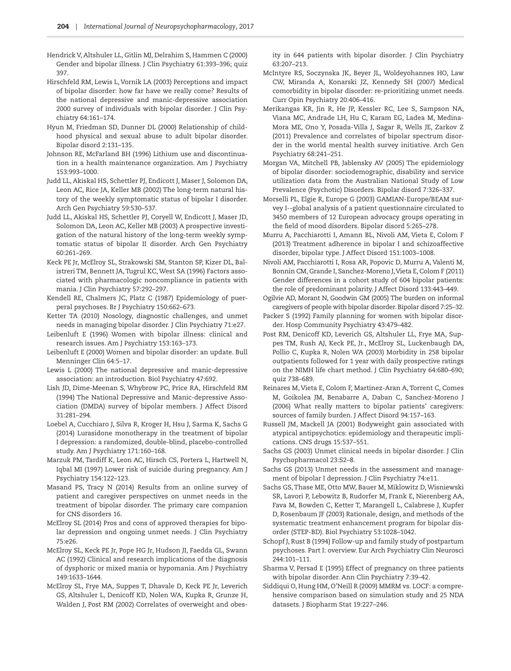- <span id="page-8-13"></span>Hendrick V, Altshuler LL, Gitlin MJ, Delrahim S, Hammen C (2000) Gender and bipolar illness. J Clin Psychiatry 61:393–396; quiz 397.
- <span id="page-8-2"></span>Hirschfeld RM, Lewis L, Vornik LA (2003) Perceptions and impact of bipolar disorder: how far have we really come? Results of the national depressive and manic-depressive association 2000 survey of individuals with bipolar disorder. J Clin Psychiatry 64:161–174.
- <span id="page-8-17"></span>Hyun M, Friedman SD, Dunner DL (2000) Relationship of childhood physical and sexual abuse to adult bipolar disorder. Bipolar disord 2:131–135.
- <span id="page-8-29"></span>Johnson RE, McFarland BH (1996) Lithium use and discontinuation in a health maintenance organization. Am J Psychiatry 153:993–1000.
- <span id="page-8-6"></span>Judd LL, Akiskal HS, Schettler PJ, Endicott J, Maser J, Solomon DA, Leon AC, Rice JA, Keller MB (2002) The long-term natural history of the weekly symptomatic status of bipolar I disorder. Arch Gen Psychiatry 59:530–537.
- <span id="page-8-7"></span>Judd LL, Akiskal HS, Schettler PJ, Coryell W, Endicott J, Maser JD, Solomon DA, Leon AC, Keller MB (2003) A prospective investigation of the natural history of the long-term weekly symptomatic status of bipolar II disorder. Arch Gen Psychiatry 60:261–269.
- <span id="page-8-28"></span>Keck PE Jr, McElroy SL, Strakowski SM, Stanton SP, Kizer DL, Balistreri TM, Bennett JA, Tugrul KC, West SA (1996) Factors associated with pharmacologic noncompliance in patients with mania. J Clin Psychiatry 57:292–297.
- <span id="page-8-19"></span>Kendell RE, Chalmers JC, Platz C (1987) Epidemiology of puerperal psychoses. Br J Psychiatry 150:662–673.
- <span id="page-8-4"></span>Ketter TA (2010) Nosology, diagnostic challenges, and unmet needs in managing bipolar disorder. J Clin Psychiatry 71:e27.
- <span id="page-8-12"></span>Leibenluft E (1996) Women with bipolar illness: clinical and research issues. Am J Psychiatry 153:163–173.
- <span id="page-8-14"></span>Leibenluft E (2000) Women and bipolar disorder: an update. Bull Menninger Clin 64:5–17.
- <span id="page-8-1"></span>Lewis L (2000) The national depressive and manic-depressive association: an introduction. Biol Psychiatry 47:692.
- <span id="page-8-0"></span>Lish JD, Dime-Meenan S, Whybrow PC, Price RA, Hirschfeld RM (1994) The National Depressive and Manic-depressive Association (DMDA) survey of bipolar members. J Affect Disord 31:281–294.
- <span id="page-8-32"></span>Loebel A, Cucchiaro J, Silva R, Kroger H, Hsu J, Sarma K, Sachs G (2014) Lurasidone monotherapy in the treatment of bipolar I depression: a randomized, double-blind, placebo-controlled study. Am J Psychiatry 171:160–168.
- <span id="page-8-20"></span>Marzuk PM, Tardiff K, Leon AC, Hirsch CS, Portera L, Hartwell N, Iqbal MI (1997) Lower risk of suicide during pregnancy. Am J Psychiatry 154:122–123.
- <span id="page-8-25"></span>Masand PS, Tracy N (2014) Results from an online survey of patient and caregiver perspectives on unmet needs in the treatment of bipolar disorder. The primary care companion for CNS disorders 16.
- <span id="page-8-9"></span>McElroy SL (2014) Pros and cons of approved therapies for bipolar depression and ongoing unmet needs. J Clin Psychiatry 75:e26.
- <span id="page-8-16"></span>McElroy SL, Keck PE Jr, Pope HG Jr, Hudson JI, Faedda GL, Swann AC (1992) Clinical and research implications of the diagnosis of dysphoric or mixed mania or hypomania. Am J Psychiatry 149:1633–1644.
- McElroy SL, Frye MA, Suppes T, Dhavale D, Keck PE Jr, Leverich GS, Altshuler L, Denicoff KD, Nolen WA, Kupka R, Grunze H, Walden J, Post RM (2002) Correlates of overweight and obes-

ity in 644 patients with bipolar disorder. J Clin Psychiatry 63:207–213.

- <span id="page-8-10"></span>McIntyre RS, Soczynska JK, Beyer JL, Woldeyohannes HO, Law CW, Miranda A, Konarski JZ, Kennedy SH (2007) Medical comorbidity in bipolar disorder: re-prioritizing unmet needs. Curr Opin Psychiatry 20:406–416.
- <span id="page-8-5"></span>Merikangas KR, Jin R, He JP, Kessler RC, Lee S, Sampson NA, Viana MC, Andrade LH, Hu C, Karam EG, Ladea M, Medina-Mora ME, Ono Y, Posada-Villa J, Sagar R, Wells JE, Zarkov Z (2011) Prevalence and correlates of bipolar spectrum disorder in the world mental health survey initiative. Arch Gen Psychiatry 68:241–251.
- <span id="page-8-8"></span>Morgan VA, Mitchell PB, Jablensky AV (2005) The epidemiology of bipolar disorder: sociodemographic, disability and service utilization data from the Australian National Study of Low Prevalence (Psychotic) Disorders. Bipolar disord 7:326–337.
- <span id="page-8-3"></span>Morselli PL, Elgie R, Europe G (2003) GAMIAN-Europe/BEAM survey I--global analysis of a patient questionnaire circulated to 3450 members of 12 European advocacy groups operating in the field of mood disorders. Bipolar disord 5:265–278.
- <span id="page-8-30"></span>Murru A, Pacchiarotti I, Amann BL, Nivoli AM, Vieta E, Colom F (2013) Treatment adherence in bipolar I and schizoaffective disorder, bipolar type. J Affect Disord 151:1003–1008.
- <span id="page-8-15"></span>Nivoli AM, Pacchiarotti I, Rosa AR, Popovic D, Murru A, Valenti M, Bonnin CM, Grande I, Sanchez-Moreno J, Vieta E, Colom F (2011) Gender differences in a cohort study of 604 bipolar patients: the role of predominant polarity. J Affect Disord 133:443–449.
- <span id="page-8-27"></span>Ogilvie AD, Morant N, Goodwin GM (2005) The burden on informal caregivers of people with bipolar disorder. Bipolar disord 7:25–32.
- <span id="page-8-18"></span>Packer S (1992) Family planning for women with bipolar disorder. Hosp Community Psychiatry 43:479–482.
- Post RM, Denicoff KD, Leverich GS, Altshuler LL, Frye MA, Suppes TM, Rush AJ, Keck PE, Jr., McElroy SL, Luckenbaugh DA, Pollio C, Kupka R, Nolen WA (2003) Morbidity in 258 bipolar outpatients followed for 1 year with daily prospective ratings on the NIMH life chart method. J Clin Psychiatry 64:680–690; quiz 738–689.
- <span id="page-8-26"></span>Reinares M, Vieta E, Colom F, Martinez-Aran A, Torrent C, Comes M, Goikolea JM, Benabarre A, Daban C, Sanchez-Moreno J (2006) What really matters to bipolar patients' caregivers: sources of family burden. J Affect Disord 94:157–163.
- <span id="page-8-23"></span>Russell JM, Mackell JA (2001) Bodyweight gain associated with atypical antipsychotics: epidemiology and therapeutic implications. CNS drugs 15:537–551.
- <span id="page-8-11"></span>Sachs GS (2003) Unmet clinical needs in bipolar disorder. J Clin Psychopharmacol 23:S2–8.
- <span id="page-8-31"></span>Sachs GS (2013) Unmet needs in the assessment and management of bipolar I depression. J Clin Psychiatry 74:e11.
- <span id="page-8-24"></span>Sachs GS, Thase ME, Otto MW, Bauer M, Miklowitz D, Wisniewski SR, Lavori P, Lebowitz B, Rudorfer M, Frank E, Nierenberg AA, Fava M, Bowden C, Ketter T, Marangell L, Calabrese J, Kupfer D, Rosenbaum JF (2003) Rationale, design, and methods of the systematic treatment enhancement program for bipolar disorder (STEP-BD). Biol Psychiatry 53:1028–1042.
- <span id="page-8-22"></span>Schopf J, Rust B (1994) Follow-up and family study of postpartum psychoses. Part I: overview. Eur Arch Psychiatry Clin Neurosci 244:101–111.
- <span id="page-8-21"></span>Sharma V, Persad E (1995) Effect of pregnancy on three patients with bipolar disorder. Ann Clin Psychiatry 7:39–42.
- <span id="page-8-33"></span>Siddiqui O, Hung HM, O'Neill R (2009) MMRM vs. LOCF: a comprehensive comparison based on simulation study and 25 NDA datasets. J Biopharm Stat 19:227–246.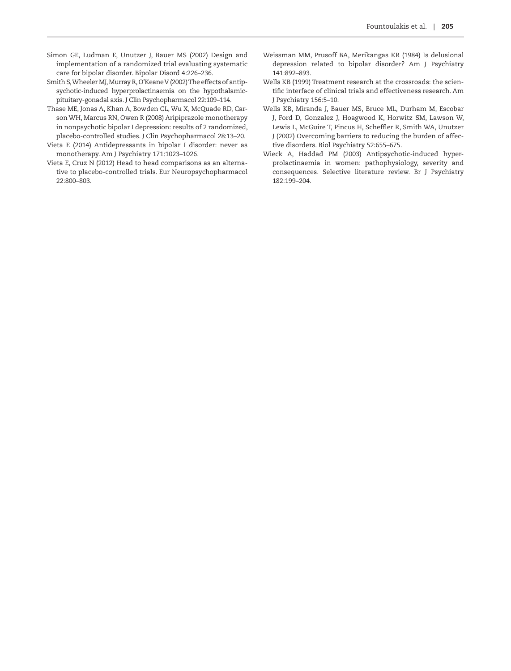- <span id="page-9-4"></span>Simon GE, Ludman E, Unutzer J, Bauer MS (2002) Design and implementation of a randomized trial evaluating systematic care for bipolar disorder. Bipolar Disord 4:226–236.
- Smith S, Wheeler MJ, Murray R, O'Keane V (2002) The effects of antipsychotic-induced hyperprolactinaemia on the hypothalamicpituitary-gonadal axis. J Clin Psychopharmacol 22:109–114.
- <span id="page-9-6"></span>Thase ME, Jonas A, Khan A, Bowden CL, Wu X, McQuade RD, Carson WH, Marcus RN, Owen R (2008) Aripiprazole monotherapy in nonpsychotic bipolar I depression: results of 2 randomized, placebo-controlled studies. J Clin Psychopharmacol 28:13–20.
- <span id="page-9-0"></span>Vieta E (2014) Antidepressants in bipolar I disorder: never as monotherapy. Am J Psychiatry 171:1023–1026.
- <span id="page-9-7"></span>Vieta E, Cruz N (2012) Head to head comparisons as an alternative to placebo-controlled trials. Eur Neuropsychopharmacol 22:800–803.
- <span id="page-9-1"></span>Weissman MM, Prusoff BA, Merikangas KR (1984) Is delusional depression related to bipolar disorder? Am J Psychiatry 141:892–893.
- <span id="page-9-3"></span>Wells KB (1999) Treatment research at the crossroads: the scientific interface of clinical trials and effectiveness research. Am J Psychiatry 156:5–10.
- <span id="page-9-5"></span>Wells KB, Miranda J, Bauer MS, Bruce ML, Durham M, Escobar J, Ford D, Gonzalez J, Hoagwood K, Horwitz SM, Lawson W, Lewis L, McGuire T, Pincus H, Scheffler R, Smith WA, Unutzer J (2002) Overcoming barriers to reducing the burden of affective disorders. Biol Psychiatry 52:655–675.
- <span id="page-9-2"></span>Wieck A, Haddad PM (2003) Antipsychotic-induced hyperprolactinaemia in women: pathophysiology, severity and consequences. Selective literature review. Br J Psychiatry 182:199–204.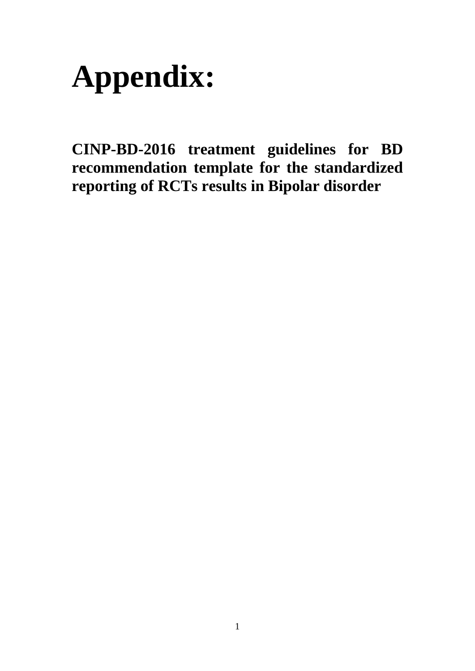

**CINP-BD-2016 treatment guidelines for BD recommendation template for the standardized reporting of RCTs results in Bipolar disorder**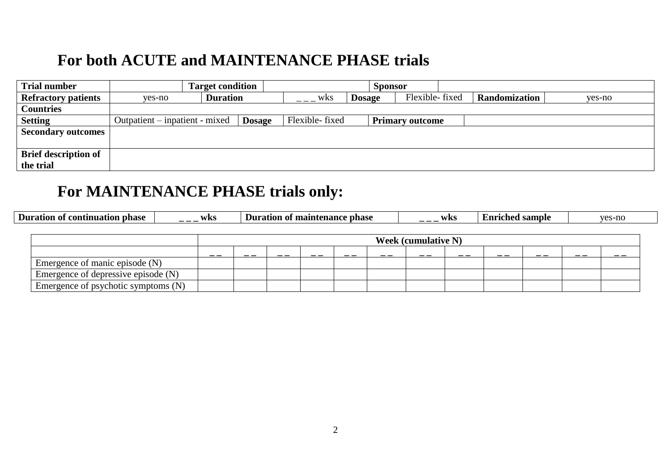# **For both ACUTE and MAINTENANCE PHASE trials**

| <b>Trial number</b>         |                                | <b>Target condition</b> |               |                |               | <b>Sponsor</b> |                        |               |        |
|-----------------------------|--------------------------------|-------------------------|---------------|----------------|---------------|----------------|------------------------|---------------|--------|
| <b>Refractory patients</b>  | yes-no                         | <b>Duration</b>         |               | wks            | <b>Dosage</b> |                | Flexible-fixed         | Randomization | yes-no |
| <b>Countries</b>            |                                |                         |               |                |               |                |                        |               |        |
| <b>Setting</b>              | Outpatient – inpatient - mixed |                         | <b>Dosage</b> | Flexible-fixed |               |                | <b>Primary outcome</b> |               |        |
| <b>Secondary outcomes</b>   |                                |                         |               |                |               |                |                        |               |        |
|                             |                                |                         |               |                |               |                |                        |               |        |
| <b>Brief description of</b> |                                |                         |               |                |               |                |                        |               |        |
| the trial                   |                                |                         |               |                |               |                |                        |               |        |

# **For MAINTENANCE PHASE trials only:**

| <b>Duration of continuation phase</b> | wks |  | Duration of maintenance phase |    |    |                            | wks | <b>Enriched sample</b> |    |     | yes-no |
|---------------------------------------|-----|--|-------------------------------|----|----|----------------------------|-----|------------------------|----|-----|--------|
|                                       |     |  |                               |    |    |                            |     |                        |    |     |        |
|                                       |     |  |                               |    |    | <b>Week (cumulative N)</b> |     |                        |    |     |        |
|                                       | __  |  |                               | __ | __ | __                         | __  | - -                    | __ | - - |        |
| Emergence of manic episode (N)        |     |  |                               |    |    |                            |     |                        |    |     |        |
| Emergence of depressive episode (N)   |     |  |                               |    |    |                            |     |                        |    |     |        |
| Emergence of psychotic symptoms (N)   |     |  |                               |    |    |                            |     |                        |    |     |        |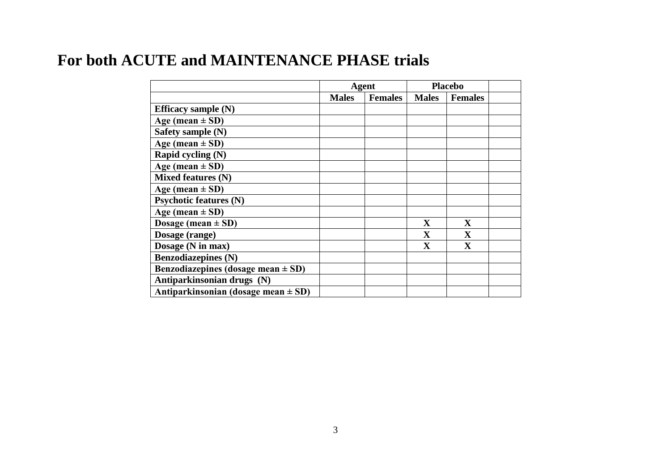# **For both ACUTE and MAINTENANCE PHASE trials**

|                                         |              | <b>Agent</b>   |                         | <b>Placebo</b>          |  |
|-----------------------------------------|--------------|----------------|-------------------------|-------------------------|--|
|                                         | <b>Males</b> | <b>Females</b> | <b>Males</b>            | <b>Females</b>          |  |
| Efficacy sample $(N)$                   |              |                |                         |                         |  |
| Age (mean $\pm$ SD)                     |              |                |                         |                         |  |
| Safety sample (N)                       |              |                |                         |                         |  |
| Age (mean $\pm$ SD)                     |              |                |                         |                         |  |
| Rapid cycling (N)                       |              |                |                         |                         |  |
| Age (mean $\pm$ SD)                     |              |                |                         |                         |  |
| Mixed features (N)                      |              |                |                         |                         |  |
| Age (mean $\pm$ SD)                     |              |                |                         |                         |  |
| <b>Psychotic features (N)</b>           |              |                |                         |                         |  |
| Age (mean $\pm$ SD)                     |              |                |                         |                         |  |
| Dosage (mean $\pm$ SD)                  |              |                | $\mathbf{X}$            | $\mathbf X$             |  |
| Dosage (range)                          |              |                | $\mathbf X$             | $\mathbf X$             |  |
| Dosage (N in max)                       |              |                | $\overline{\mathbf{X}}$ | $\overline{\mathbf{X}}$ |  |
| <b>Benzodiazepines (N)</b>              |              |                |                         |                         |  |
| Benzodiazepines (dosage mean $\pm$ SD)  |              |                |                         |                         |  |
| Antiparkinsonian drugs (N)              |              |                |                         |                         |  |
| Antiparkinsonian (dosage mean $\pm$ SD) |              |                |                         |                         |  |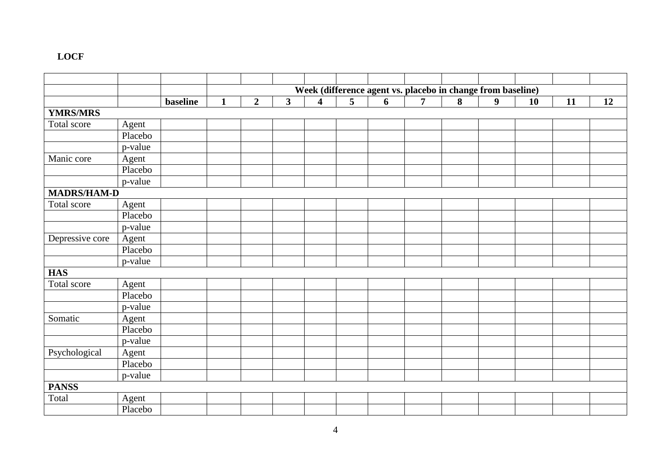# **LOCF**

|                    |                       |                 |              |                |                         |                         |   |   | Week (difference agent vs. placebo in change from baseline) |   |                  |    |    |    |
|--------------------|-----------------------|-----------------|--------------|----------------|-------------------------|-------------------------|---|---|-------------------------------------------------------------|---|------------------|----|----|----|
|                    |                       | <b>baseline</b> | $\mathbf{1}$ | $\overline{2}$ | $\overline{\mathbf{3}}$ | $\overline{\mathbf{4}}$ | 5 | 6 | $\overline{7}$                                              | 8 | $\boldsymbol{9}$ | 10 | 11 | 12 |
| <b>YMRS/MRS</b>    |                       |                 |              |                |                         |                         |   |   |                                                             |   |                  |    |    |    |
| Total score        | Agent                 |                 |              |                |                         |                         |   |   |                                                             |   |                  |    |    |    |
|                    | Placebo               |                 |              |                |                         |                         |   |   |                                                             |   |                  |    |    |    |
|                    | $\overline{p}$ -value |                 |              |                |                         |                         |   |   |                                                             |   |                  |    |    |    |
| Manic core         | Agent                 |                 |              |                |                         |                         |   |   |                                                             |   |                  |    |    |    |
|                    | Placebo               |                 |              |                |                         |                         |   |   |                                                             |   |                  |    |    |    |
|                    | p-value               |                 |              |                |                         |                         |   |   |                                                             |   |                  |    |    |    |
| <b>MADRS/HAM-D</b> |                       |                 |              |                |                         |                         |   |   |                                                             |   |                  |    |    |    |
| Total score        | Agent                 |                 |              |                |                         |                         |   |   |                                                             |   |                  |    |    |    |
|                    | Placebo               |                 |              |                |                         |                         |   |   |                                                             |   |                  |    |    |    |
|                    | p-value               |                 |              |                |                         |                         |   |   |                                                             |   |                  |    |    |    |
| Depressive core    | Agent                 |                 |              |                |                         |                         |   |   |                                                             |   |                  |    |    |    |
|                    | Placebo               |                 |              |                |                         |                         |   |   |                                                             |   |                  |    |    |    |
|                    | p-value               |                 |              |                |                         |                         |   |   |                                                             |   |                  |    |    |    |
| <b>HAS</b>         |                       |                 |              |                |                         |                         |   |   |                                                             |   |                  |    |    |    |
| Total score        | Agent                 |                 |              |                |                         |                         |   |   |                                                             |   |                  |    |    |    |
|                    | Placebo               |                 |              |                |                         |                         |   |   |                                                             |   |                  |    |    |    |
|                    | p-value               |                 |              |                |                         |                         |   |   |                                                             |   |                  |    |    |    |
| Somatic            | Agent                 |                 |              |                |                         |                         |   |   |                                                             |   |                  |    |    |    |
|                    | Placebo               |                 |              |                |                         |                         |   |   |                                                             |   |                  |    |    |    |
|                    | p-value               |                 |              |                |                         |                         |   |   |                                                             |   |                  |    |    |    |
| Psychological      | Agent                 |                 |              |                |                         |                         |   |   |                                                             |   |                  |    |    |    |
|                    | Placebo               |                 |              |                |                         |                         |   |   |                                                             |   |                  |    |    |    |
|                    | p-value               |                 |              |                |                         |                         |   |   |                                                             |   |                  |    |    |    |
| <b>PANSS</b>       |                       |                 |              |                |                         |                         |   |   |                                                             |   |                  |    |    |    |
| Total              | Agent                 |                 |              |                |                         |                         |   |   |                                                             |   |                  |    |    |    |
|                    | Placebo               |                 |              |                |                         |                         |   |   |                                                             |   |                  |    |    |    |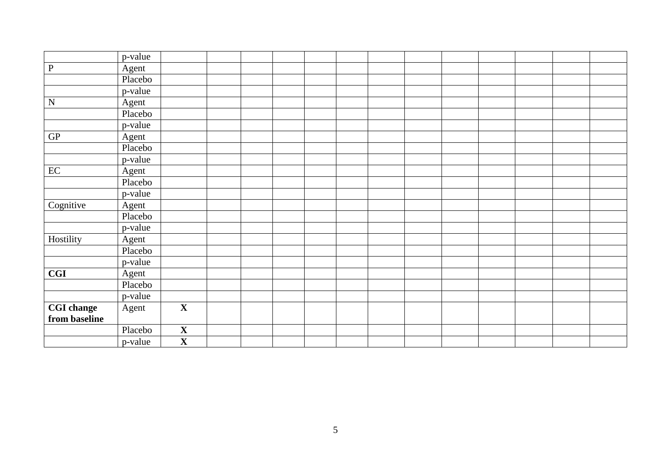|                   | p-value |                         |  |  |  |  |  |  |
|-------------------|---------|-------------------------|--|--|--|--|--|--|
| $\, {\bf P}$      | Agent   |                         |  |  |  |  |  |  |
|                   | Placebo |                         |  |  |  |  |  |  |
|                   | p-value |                         |  |  |  |  |  |  |
| ${\bf N}$         | Agent   |                         |  |  |  |  |  |  |
|                   | Placebo |                         |  |  |  |  |  |  |
|                   | p-value |                         |  |  |  |  |  |  |
| ${\rm GP}$        | Agent   |                         |  |  |  |  |  |  |
|                   | Placebo |                         |  |  |  |  |  |  |
|                   | p-value |                         |  |  |  |  |  |  |
| $\rm EC$          | Agent   |                         |  |  |  |  |  |  |
|                   | Placebo |                         |  |  |  |  |  |  |
|                   | p-value |                         |  |  |  |  |  |  |
| Cognitive         | Agent   |                         |  |  |  |  |  |  |
|                   | Placebo |                         |  |  |  |  |  |  |
|                   | p-value |                         |  |  |  |  |  |  |
| Hostility         | Agent   |                         |  |  |  |  |  |  |
|                   | Placebo |                         |  |  |  |  |  |  |
|                   | p-value |                         |  |  |  |  |  |  |
| <b>CGI</b>        | Agent   |                         |  |  |  |  |  |  |
|                   | Placebo |                         |  |  |  |  |  |  |
|                   | p-value |                         |  |  |  |  |  |  |
| <b>CGI</b> change | Agent   | $\overline{\mathbf{X}}$ |  |  |  |  |  |  |
| from baseline     |         |                         |  |  |  |  |  |  |
|                   | Placebo | $\mathbf X$             |  |  |  |  |  |  |
|                   | p-value | $\overline{\mathbf{X}}$ |  |  |  |  |  |  |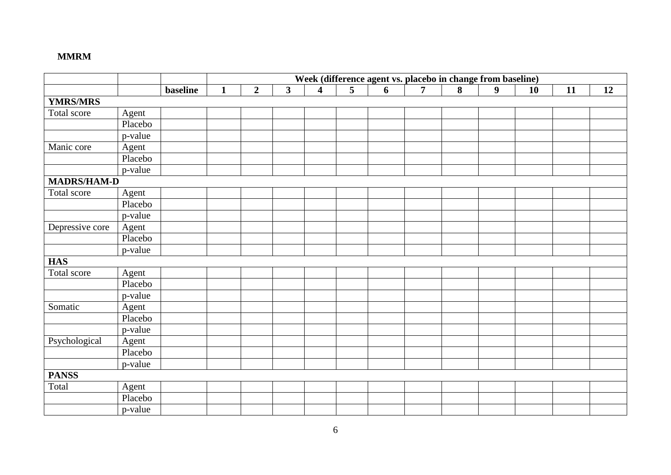# **MMRM**

|                    |         |                 |              |                |                         |                         |                |   | Week (difference agent vs. placebo in change from baseline) |   |                  |    |    |    |
|--------------------|---------|-----------------|--------------|----------------|-------------------------|-------------------------|----------------|---|-------------------------------------------------------------|---|------------------|----|----|----|
|                    |         | <b>baseline</b> | $\mathbf{1}$ | $\overline{2}$ | $\overline{\mathbf{3}}$ | $\overline{\mathbf{4}}$ | $\overline{5}$ | 6 | $\overline{7}$                                              | 8 | $\boldsymbol{9}$ | 10 | 11 | 12 |
| <b>YMRS/MRS</b>    |         |                 |              |                |                         |                         |                |   |                                                             |   |                  |    |    |    |
| Total score        | Agent   |                 |              |                |                         |                         |                |   |                                                             |   |                  |    |    |    |
|                    | Placebo |                 |              |                |                         |                         |                |   |                                                             |   |                  |    |    |    |
|                    | p-value |                 |              |                |                         |                         |                |   |                                                             |   |                  |    |    |    |
| Manic core         | Agent   |                 |              |                |                         |                         |                |   |                                                             |   |                  |    |    |    |
|                    | Placebo |                 |              |                |                         |                         |                |   |                                                             |   |                  |    |    |    |
|                    | p-value |                 |              |                |                         |                         |                |   |                                                             |   |                  |    |    |    |
| <b>MADRS/HAM-D</b> |         |                 |              |                |                         |                         |                |   |                                                             |   |                  |    |    |    |
| Total score        | Agent   |                 |              |                |                         |                         |                |   |                                                             |   |                  |    |    |    |
|                    | Placebo |                 |              |                |                         |                         |                |   |                                                             |   |                  |    |    |    |
|                    | p-value |                 |              |                |                         |                         |                |   |                                                             |   |                  |    |    |    |
| Depressive core    | Agent   |                 |              |                |                         |                         |                |   |                                                             |   |                  |    |    |    |
|                    | Placebo |                 |              |                |                         |                         |                |   |                                                             |   |                  |    |    |    |
|                    | p-value |                 |              |                |                         |                         |                |   |                                                             |   |                  |    |    |    |
| <b>HAS</b>         |         |                 |              |                |                         |                         |                |   |                                                             |   |                  |    |    |    |
| Total score        | Agent   |                 |              |                |                         |                         |                |   |                                                             |   |                  |    |    |    |
|                    | Placebo |                 |              |                |                         |                         |                |   |                                                             |   |                  |    |    |    |
|                    | p-value |                 |              |                |                         |                         |                |   |                                                             |   |                  |    |    |    |
| Somatic            | Agent   |                 |              |                |                         |                         |                |   |                                                             |   |                  |    |    |    |
|                    | Placebo |                 |              |                |                         |                         |                |   |                                                             |   |                  |    |    |    |
|                    | p-value |                 |              |                |                         |                         |                |   |                                                             |   |                  |    |    |    |
| Psychological      | Agent   |                 |              |                |                         |                         |                |   |                                                             |   |                  |    |    |    |
|                    | Placebo |                 |              |                |                         |                         |                |   |                                                             |   |                  |    |    |    |
|                    | p-value |                 |              |                |                         |                         |                |   |                                                             |   |                  |    |    |    |
| <b>PANSS</b>       |         |                 |              |                |                         |                         |                |   |                                                             |   |                  |    |    |    |
| Total              | Agent   |                 |              |                |                         |                         |                |   |                                                             |   |                  |    |    |    |
|                    | Placebo |                 |              |                |                         |                         |                |   |                                                             |   |                  |    |    |    |
|                    | p-value |                 |              |                |                         |                         |                |   |                                                             |   |                  |    |    |    |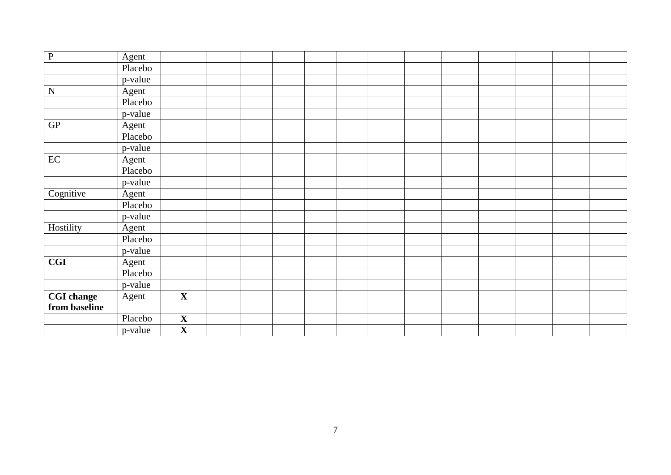| ${\bf P}$         | Agent   |                         |  |  |  |  |  |  |
|-------------------|---------|-------------------------|--|--|--|--|--|--|
|                   | Placebo |                         |  |  |  |  |  |  |
|                   | p-value |                         |  |  |  |  |  |  |
| ${\bf N}$         | Agent   |                         |  |  |  |  |  |  |
|                   | Placebo |                         |  |  |  |  |  |  |
|                   | p-value |                         |  |  |  |  |  |  |
| ${\rm GP}$        | Agent   |                         |  |  |  |  |  |  |
|                   | Placebo |                         |  |  |  |  |  |  |
|                   | p-value |                         |  |  |  |  |  |  |
| EC                | Agent   |                         |  |  |  |  |  |  |
|                   | Placebo |                         |  |  |  |  |  |  |
|                   | p-value |                         |  |  |  |  |  |  |
| Cognitive         | Agent   |                         |  |  |  |  |  |  |
|                   | Placebo |                         |  |  |  |  |  |  |
|                   | p-value |                         |  |  |  |  |  |  |
| Hostility         | Agent   |                         |  |  |  |  |  |  |
|                   | Placebo |                         |  |  |  |  |  |  |
|                   | p-value |                         |  |  |  |  |  |  |
| <b>CGI</b>        | Agent   |                         |  |  |  |  |  |  |
|                   | Placebo |                         |  |  |  |  |  |  |
|                   | p-value |                         |  |  |  |  |  |  |
| <b>CGI</b> change | Agent   | $\overline{\mathbf{X}}$ |  |  |  |  |  |  |
| from baseline     |         |                         |  |  |  |  |  |  |
|                   | Placebo | $\overline{\mathbf{X}}$ |  |  |  |  |  |  |
|                   | p-value | $\overline{\mathbf{X}}$ |  |  |  |  |  |  |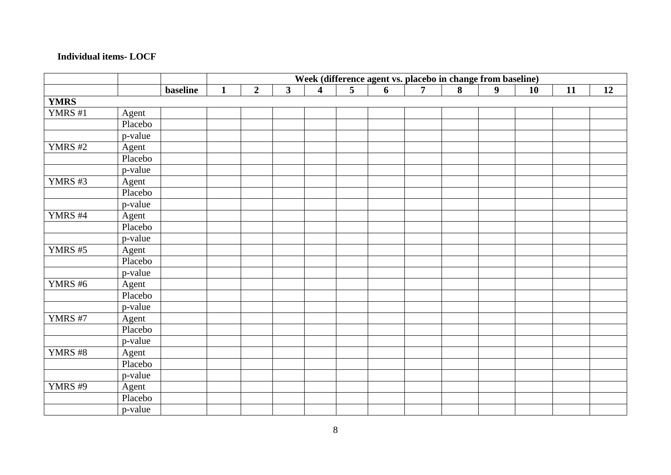## **Individual items- LOCF**

|                |         |                 |              |                |                         |                         |                | Week (difference agent vs. placebo in change from baseline) |                |   |                  |           |    |    |
|----------------|---------|-----------------|--------------|----------------|-------------------------|-------------------------|----------------|-------------------------------------------------------------|----------------|---|------------------|-----------|----|----|
|                |         | <b>baseline</b> | $\mathbf{1}$ | $\overline{2}$ | $\overline{\mathbf{3}}$ | $\overline{\mathbf{4}}$ | $\overline{5}$ | 6                                                           | $\overline{7}$ | 8 | $\boldsymbol{9}$ | <b>10</b> | 11 | 12 |
| <b>YMRS</b>    |         |                 |              |                |                         |                         |                |                                                             |                |   |                  |           |    |    |
| YMRS #1        | Agent   |                 |              |                |                         |                         |                |                                                             |                |   |                  |           |    |    |
|                | Placebo |                 |              |                |                         |                         |                |                                                             |                |   |                  |           |    |    |
|                | p-value |                 |              |                |                         |                         |                |                                                             |                |   |                  |           |    |    |
| <b>YMRS</b> #2 | Agent   |                 |              |                |                         |                         |                |                                                             |                |   |                  |           |    |    |
|                | Placebo |                 |              |                |                         |                         |                |                                                             |                |   |                  |           |    |    |
|                | p-value |                 |              |                |                         |                         |                |                                                             |                |   |                  |           |    |    |
| YMRS#3         | Agent   |                 |              |                |                         |                         |                |                                                             |                |   |                  |           |    |    |
|                | Placebo |                 |              |                |                         |                         |                |                                                             |                |   |                  |           |    |    |
|                | p-value |                 |              |                |                         |                         |                |                                                             |                |   |                  |           |    |    |
| YMRS #4        | Agent   |                 |              |                |                         |                         |                |                                                             |                |   |                  |           |    |    |
|                | Placebo |                 |              |                |                         |                         |                |                                                             |                |   |                  |           |    |    |
|                | p-value |                 |              |                |                         |                         |                |                                                             |                |   |                  |           |    |    |
| YMRS #5        | Agent   |                 |              |                |                         |                         |                |                                                             |                |   |                  |           |    |    |
|                | Placebo |                 |              |                |                         |                         |                |                                                             |                |   |                  |           |    |    |
|                | p-value |                 |              |                |                         |                         |                |                                                             |                |   |                  |           |    |    |
| <b>YMRS #6</b> | Agent   |                 |              |                |                         |                         |                |                                                             |                |   |                  |           |    |    |
|                | Placebo |                 |              |                |                         |                         |                |                                                             |                |   |                  |           |    |    |
|                | p-value |                 |              |                |                         |                         |                |                                                             |                |   |                  |           |    |    |
| <b>YMRS #7</b> | Agent   |                 |              |                |                         |                         |                |                                                             |                |   |                  |           |    |    |
|                | Placebo |                 |              |                |                         |                         |                |                                                             |                |   |                  |           |    |    |
|                | p-value |                 |              |                |                         |                         |                |                                                             |                |   |                  |           |    |    |
| YMRS #8        | Agent   |                 |              |                |                         |                         |                |                                                             |                |   |                  |           |    |    |
|                | Placebo |                 |              |                |                         |                         |                |                                                             |                |   |                  |           |    |    |
|                | p-value |                 |              |                |                         |                         |                |                                                             |                |   |                  |           |    |    |
| YMRS #9        | Agent   |                 |              |                |                         |                         |                |                                                             |                |   |                  |           |    |    |
|                | Placebo |                 |              |                |                         |                         |                |                                                             |                |   |                  |           |    |    |
|                | p-value |                 |              |                |                         |                         |                |                                                             |                |   |                  |           |    |    |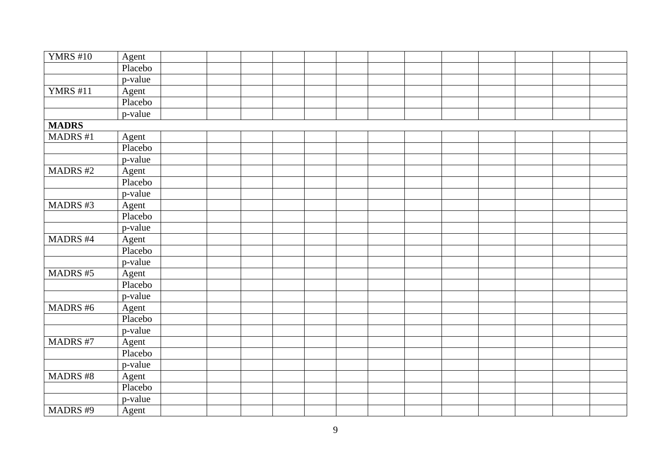| <b>YMRS #10</b> | Agent   |  |  |  |  |  |  |  |
|-----------------|---------|--|--|--|--|--|--|--|
|                 | Placebo |  |  |  |  |  |  |  |
|                 | p-value |  |  |  |  |  |  |  |
| <b>YMRS</b> #11 | Agent   |  |  |  |  |  |  |  |
|                 | Placebo |  |  |  |  |  |  |  |
|                 | p-value |  |  |  |  |  |  |  |
| <b>MADRS</b>    |         |  |  |  |  |  |  |  |
| MADRS #1        | Agent   |  |  |  |  |  |  |  |
|                 | Placebo |  |  |  |  |  |  |  |
|                 | p-value |  |  |  |  |  |  |  |
| <b>MADRS#2</b>  | Agent   |  |  |  |  |  |  |  |
|                 | Placebo |  |  |  |  |  |  |  |
|                 | p-value |  |  |  |  |  |  |  |
| MADRS#3         | Agent   |  |  |  |  |  |  |  |
|                 | Placebo |  |  |  |  |  |  |  |
|                 | p-value |  |  |  |  |  |  |  |
| <b>MADRS#4</b>  | Agent   |  |  |  |  |  |  |  |
|                 | Placebo |  |  |  |  |  |  |  |
|                 | p-value |  |  |  |  |  |  |  |
| MADRS #5        | Agent   |  |  |  |  |  |  |  |
|                 | Placebo |  |  |  |  |  |  |  |
|                 | p-value |  |  |  |  |  |  |  |
| MADRS #6        | Agent   |  |  |  |  |  |  |  |
|                 | Placebo |  |  |  |  |  |  |  |
|                 | p-value |  |  |  |  |  |  |  |
| MADRS #7        | Agent   |  |  |  |  |  |  |  |
|                 | Placebo |  |  |  |  |  |  |  |
|                 | p-value |  |  |  |  |  |  |  |
| MADRS #8        | Agent   |  |  |  |  |  |  |  |
|                 | Placebo |  |  |  |  |  |  |  |
|                 | p-value |  |  |  |  |  |  |  |
| MADRS #9        | Agent   |  |  |  |  |  |  |  |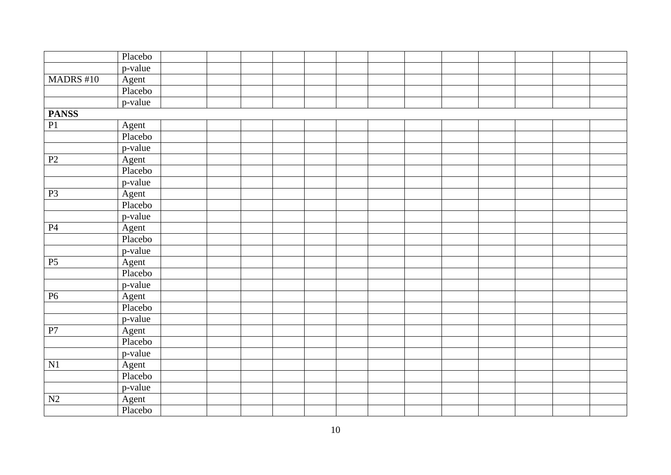|                 | Placebo |  |  |  |  |  |  |  |
|-----------------|---------|--|--|--|--|--|--|--|
|                 | p-value |  |  |  |  |  |  |  |
| MADRS #10       | Agent   |  |  |  |  |  |  |  |
|                 | Placebo |  |  |  |  |  |  |  |
|                 | p-value |  |  |  |  |  |  |  |
| <b>PANSS</b>    |         |  |  |  |  |  |  |  |
| $\overline{P1}$ | Agent   |  |  |  |  |  |  |  |
|                 | Placebo |  |  |  |  |  |  |  |
|                 | p-value |  |  |  |  |  |  |  |
| $\mathbf{P}2$   | Agent   |  |  |  |  |  |  |  |
|                 | Placebo |  |  |  |  |  |  |  |
|                 | p-value |  |  |  |  |  |  |  |
| P <sub>3</sub>  | Agent   |  |  |  |  |  |  |  |
|                 | Placebo |  |  |  |  |  |  |  |
|                 | p-value |  |  |  |  |  |  |  |
| $\mathbf{P}4$   | Agent   |  |  |  |  |  |  |  |
|                 | Placebo |  |  |  |  |  |  |  |
|                 | p-value |  |  |  |  |  |  |  |
| $\overline{P5}$ | Agent   |  |  |  |  |  |  |  |
|                 | Placebo |  |  |  |  |  |  |  |
|                 | p-value |  |  |  |  |  |  |  |
| P6              | Agent   |  |  |  |  |  |  |  |
|                 | Placebo |  |  |  |  |  |  |  |
|                 | p-value |  |  |  |  |  |  |  |
| ${\bf P}7$      | Agent   |  |  |  |  |  |  |  |
|                 | Placebo |  |  |  |  |  |  |  |
|                 | p-value |  |  |  |  |  |  |  |
| N1              | Agent   |  |  |  |  |  |  |  |
|                 | Placebo |  |  |  |  |  |  |  |
|                 | p-value |  |  |  |  |  |  |  |
| $\mathbf{N2}$   | Agent   |  |  |  |  |  |  |  |
|                 | Placebo |  |  |  |  |  |  |  |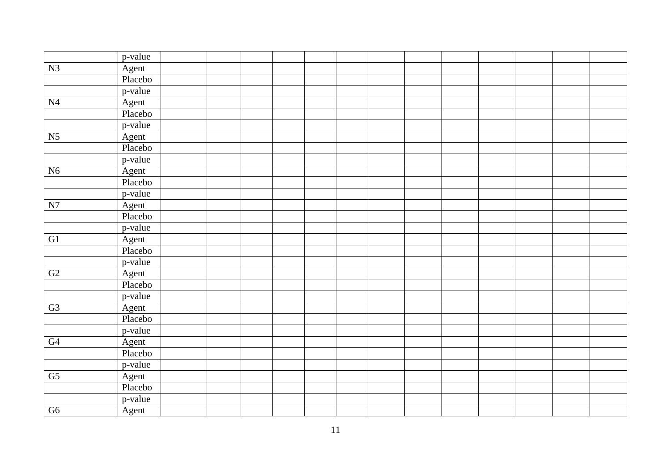|                 | p-value |  |  |  |  |  |  |  |
|-----------------|---------|--|--|--|--|--|--|--|
| N3              | Agent   |  |  |  |  |  |  |  |
|                 | Placebo |  |  |  |  |  |  |  |
|                 | p-value |  |  |  |  |  |  |  |
| N <sub>4</sub>  | Agent   |  |  |  |  |  |  |  |
|                 | Placebo |  |  |  |  |  |  |  |
|                 | p-value |  |  |  |  |  |  |  |
| N <sub>5</sub>  | Agent   |  |  |  |  |  |  |  |
|                 | Placebo |  |  |  |  |  |  |  |
|                 | p-value |  |  |  |  |  |  |  |
| N6              | Agent   |  |  |  |  |  |  |  |
|                 | Placebo |  |  |  |  |  |  |  |
|                 | p-value |  |  |  |  |  |  |  |
| N7              | Agent   |  |  |  |  |  |  |  |
|                 | Placebo |  |  |  |  |  |  |  |
|                 | p-value |  |  |  |  |  |  |  |
| G1              | Agent   |  |  |  |  |  |  |  |
|                 | Placebo |  |  |  |  |  |  |  |
|                 | p-value |  |  |  |  |  |  |  |
| G2              | Agent   |  |  |  |  |  |  |  |
|                 | Placebo |  |  |  |  |  |  |  |
|                 | p-value |  |  |  |  |  |  |  |
| G3              | Agent   |  |  |  |  |  |  |  |
|                 | Placebo |  |  |  |  |  |  |  |
|                 | p-value |  |  |  |  |  |  |  |
| G4              | Agent   |  |  |  |  |  |  |  |
|                 | Placebo |  |  |  |  |  |  |  |
|                 | p-value |  |  |  |  |  |  |  |
| $\overline{G5}$ | Agent   |  |  |  |  |  |  |  |
|                 | Placebo |  |  |  |  |  |  |  |
|                 | p-value |  |  |  |  |  |  |  |
| G6              | Agent   |  |  |  |  |  |  |  |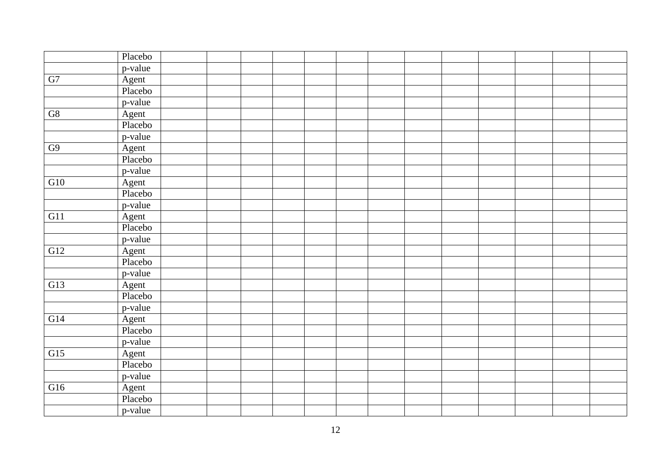|                          | Placebo |  |  |  |  |  |  |  |
|--------------------------|---------|--|--|--|--|--|--|--|
|                          | p-value |  |  |  |  |  |  |  |
| ${\rm G}7$               | Agent   |  |  |  |  |  |  |  |
|                          | Placebo |  |  |  |  |  |  |  |
|                          | p-value |  |  |  |  |  |  |  |
| $\overline{\mathrm{G}8}$ | Agent   |  |  |  |  |  |  |  |
|                          | Placebo |  |  |  |  |  |  |  |
|                          | p-value |  |  |  |  |  |  |  |
| G9                       | Agent   |  |  |  |  |  |  |  |
|                          | Placebo |  |  |  |  |  |  |  |
|                          | p-value |  |  |  |  |  |  |  |
| G10                      | Agent   |  |  |  |  |  |  |  |
|                          | Placebo |  |  |  |  |  |  |  |
|                          | p-value |  |  |  |  |  |  |  |
| G11                      | Agent   |  |  |  |  |  |  |  |
|                          | Placebo |  |  |  |  |  |  |  |
|                          | p-value |  |  |  |  |  |  |  |
| G12                      | Agent   |  |  |  |  |  |  |  |
|                          | Placebo |  |  |  |  |  |  |  |
|                          | p-value |  |  |  |  |  |  |  |
| G13                      | Agent   |  |  |  |  |  |  |  |
|                          | Placebo |  |  |  |  |  |  |  |
|                          | p-value |  |  |  |  |  |  |  |
| G14                      | Agent   |  |  |  |  |  |  |  |
|                          | Placebo |  |  |  |  |  |  |  |
|                          | p-value |  |  |  |  |  |  |  |
| $\overline{G15}$         | Agent   |  |  |  |  |  |  |  |
|                          | Placebo |  |  |  |  |  |  |  |
|                          | p-value |  |  |  |  |  |  |  |
| G16                      | Agent   |  |  |  |  |  |  |  |
|                          | Placebo |  |  |  |  |  |  |  |
|                          | p-value |  |  |  |  |  |  |  |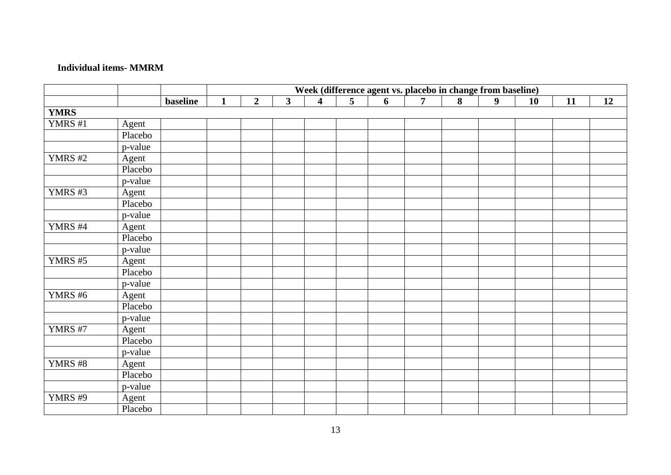## **Individual items- MMRM**

|                |         |                 |              |                |                         |                         |   | Week (difference agent vs. placebo in change from baseline) |                |   |                  |    |    |    |
|----------------|---------|-----------------|--------------|----------------|-------------------------|-------------------------|---|-------------------------------------------------------------|----------------|---|------------------|----|----|----|
|                |         | <b>baseline</b> | $\mathbf{1}$ | $\overline{2}$ | $\overline{\mathbf{3}}$ | $\overline{\mathbf{4}}$ | 5 | 6                                                           | $\overline{7}$ | 8 | $\boldsymbol{9}$ | 10 | 11 | 12 |
| <b>YMRS</b>    |         |                 |              |                |                         |                         |   |                                                             |                |   |                  |    |    |    |
| YMRS #1        | Agent   |                 |              |                |                         |                         |   |                                                             |                |   |                  |    |    |    |
|                | Placebo |                 |              |                |                         |                         |   |                                                             |                |   |                  |    |    |    |
|                | p-value |                 |              |                |                         |                         |   |                                                             |                |   |                  |    |    |    |
| <b>YMRS #2</b> | Agent   |                 |              |                |                         |                         |   |                                                             |                |   |                  |    |    |    |
|                | Placebo |                 |              |                |                         |                         |   |                                                             |                |   |                  |    |    |    |
|                | p-value |                 |              |                |                         |                         |   |                                                             |                |   |                  |    |    |    |
| YMRS #3        | Agent   |                 |              |                |                         |                         |   |                                                             |                |   |                  |    |    |    |
|                | Placebo |                 |              |                |                         |                         |   |                                                             |                |   |                  |    |    |    |
|                | p-value |                 |              |                |                         |                         |   |                                                             |                |   |                  |    |    |    |
| YMRS #4        | Agent   |                 |              |                |                         |                         |   |                                                             |                |   |                  |    |    |    |
|                | Placebo |                 |              |                |                         |                         |   |                                                             |                |   |                  |    |    |    |
|                | p-value |                 |              |                |                         |                         |   |                                                             |                |   |                  |    |    |    |
| YMRS #5        | Agent   |                 |              |                |                         |                         |   |                                                             |                |   |                  |    |    |    |
|                | Placebo |                 |              |                |                         |                         |   |                                                             |                |   |                  |    |    |    |
|                | p-value |                 |              |                |                         |                         |   |                                                             |                |   |                  |    |    |    |
| <b>YMRS #6</b> | Agent   |                 |              |                |                         |                         |   |                                                             |                |   |                  |    |    |    |
|                | Placebo |                 |              |                |                         |                         |   |                                                             |                |   |                  |    |    |    |
|                | p-value |                 |              |                |                         |                         |   |                                                             |                |   |                  |    |    |    |
| <b>YMRS #7</b> | Agent   |                 |              |                |                         |                         |   |                                                             |                |   |                  |    |    |    |
|                | Placebo |                 |              |                |                         |                         |   |                                                             |                |   |                  |    |    |    |
|                | p-value |                 |              |                |                         |                         |   |                                                             |                |   |                  |    |    |    |
| <b>YMRS #8</b> | Agent   |                 |              |                |                         |                         |   |                                                             |                |   |                  |    |    |    |
|                | Placebo |                 |              |                |                         |                         |   |                                                             |                |   |                  |    |    |    |
|                | p-value |                 |              |                |                         |                         |   |                                                             |                |   |                  |    |    |    |
| YMRS #9        | Agent   |                 |              |                |                         |                         |   |                                                             |                |   |                  |    |    |    |
|                | Placebo |                 |              |                |                         |                         |   |                                                             |                |   |                  |    |    |    |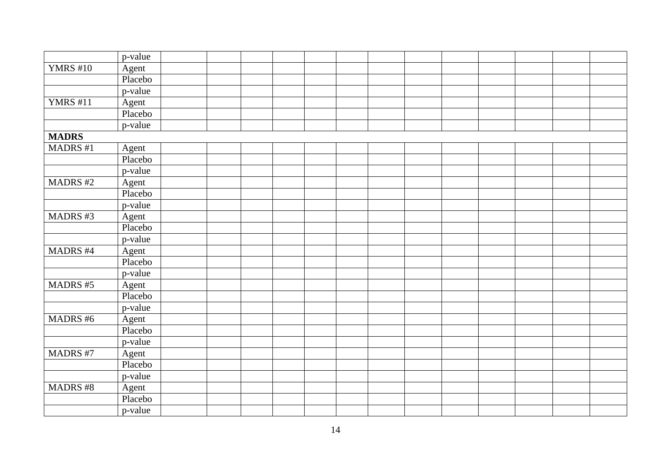|                 | p-value |  |  |  |  |  |  |  |
|-----------------|---------|--|--|--|--|--|--|--|
| <b>YMRS #10</b> | Agent   |  |  |  |  |  |  |  |
|                 | Placebo |  |  |  |  |  |  |  |
|                 | p-value |  |  |  |  |  |  |  |
| <b>YMRS</b> #11 | Agent   |  |  |  |  |  |  |  |
|                 | Placebo |  |  |  |  |  |  |  |
|                 | p-value |  |  |  |  |  |  |  |
| <b>MADRS</b>    |         |  |  |  |  |  |  |  |
| <b>MADRS</b> #1 | Agent   |  |  |  |  |  |  |  |
|                 | Placebo |  |  |  |  |  |  |  |
|                 | p-value |  |  |  |  |  |  |  |
| <b>MADRS#2</b>  | Agent   |  |  |  |  |  |  |  |
|                 | Placebo |  |  |  |  |  |  |  |
|                 | p-value |  |  |  |  |  |  |  |
| MADRS #3        | Agent   |  |  |  |  |  |  |  |
|                 | Placebo |  |  |  |  |  |  |  |
|                 | p-value |  |  |  |  |  |  |  |
| MADRS #4        | Agent   |  |  |  |  |  |  |  |
|                 | Placebo |  |  |  |  |  |  |  |
|                 | p-value |  |  |  |  |  |  |  |
| MADRS #5        | Agent   |  |  |  |  |  |  |  |
|                 | Placebo |  |  |  |  |  |  |  |
|                 | p-value |  |  |  |  |  |  |  |
| <b>MADRS#6</b>  | Agent   |  |  |  |  |  |  |  |
|                 | Placebo |  |  |  |  |  |  |  |
|                 | p-value |  |  |  |  |  |  |  |
| <b>MADRS#7</b>  | Agent   |  |  |  |  |  |  |  |
|                 | Placebo |  |  |  |  |  |  |  |
|                 | p-value |  |  |  |  |  |  |  |
| MADRS #8        | Agent   |  |  |  |  |  |  |  |
|                 | Placebo |  |  |  |  |  |  |  |
|                 | p-value |  |  |  |  |  |  |  |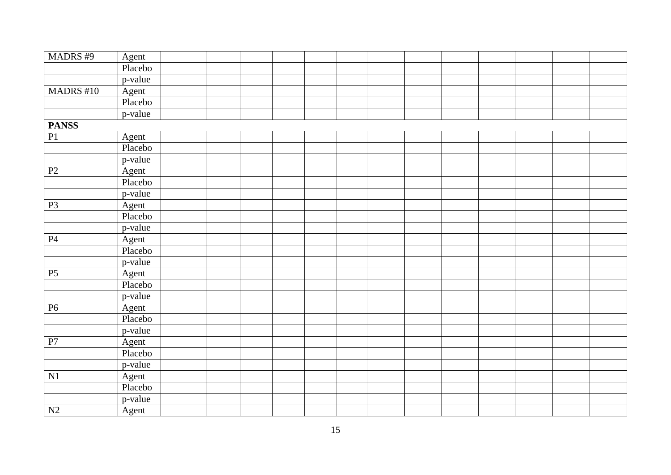| MADRS #9        | Agent   |  |  |  |  |  |  |  |
|-----------------|---------|--|--|--|--|--|--|--|
|                 | Placebo |  |  |  |  |  |  |  |
|                 | p-value |  |  |  |  |  |  |  |
| MADRS #10       | Agent   |  |  |  |  |  |  |  |
|                 | Placebo |  |  |  |  |  |  |  |
|                 | p-value |  |  |  |  |  |  |  |
| <b>PANSS</b>    |         |  |  |  |  |  |  |  |
| P1              | Agent   |  |  |  |  |  |  |  |
|                 | Placebo |  |  |  |  |  |  |  |
|                 | p-value |  |  |  |  |  |  |  |
| P2              | Agent   |  |  |  |  |  |  |  |
|                 | Placebo |  |  |  |  |  |  |  |
|                 | p-value |  |  |  |  |  |  |  |
| P <sub>3</sub>  | Agent   |  |  |  |  |  |  |  |
|                 | Placebo |  |  |  |  |  |  |  |
|                 | p-value |  |  |  |  |  |  |  |
| P4              | Agent   |  |  |  |  |  |  |  |
|                 | Placebo |  |  |  |  |  |  |  |
|                 | p-value |  |  |  |  |  |  |  |
| P5              | Agent   |  |  |  |  |  |  |  |
|                 | Placebo |  |  |  |  |  |  |  |
|                 | p-value |  |  |  |  |  |  |  |
| <b>P6</b>       | Agent   |  |  |  |  |  |  |  |
|                 | Placebo |  |  |  |  |  |  |  |
|                 | p-value |  |  |  |  |  |  |  |
| P7              | Agent   |  |  |  |  |  |  |  |
|                 | Placebo |  |  |  |  |  |  |  |
|                 | p-value |  |  |  |  |  |  |  |
| N1              | Agent   |  |  |  |  |  |  |  |
|                 | Placebo |  |  |  |  |  |  |  |
|                 | p-value |  |  |  |  |  |  |  |
| $\overline{N2}$ | Agent   |  |  |  |  |  |  |  |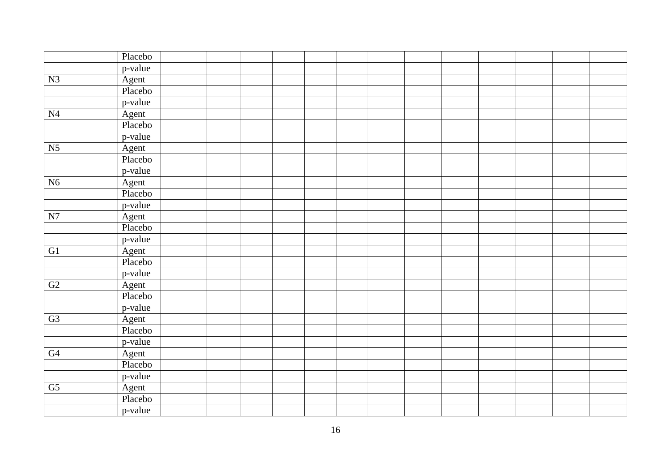|                        | Placebo |  |  |  |  |  |  |  |
|------------------------|---------|--|--|--|--|--|--|--|
|                        | p-value |  |  |  |  |  |  |  |
| N3                     | Agent   |  |  |  |  |  |  |  |
|                        | Placebo |  |  |  |  |  |  |  |
|                        | p-value |  |  |  |  |  |  |  |
| N <sub>4</sub>         | Agent   |  |  |  |  |  |  |  |
|                        | Placebo |  |  |  |  |  |  |  |
|                        | p-value |  |  |  |  |  |  |  |
| N <sub>5</sub>         | Agent   |  |  |  |  |  |  |  |
|                        | Placebo |  |  |  |  |  |  |  |
|                        | p-value |  |  |  |  |  |  |  |
| N6                     | Agent   |  |  |  |  |  |  |  |
|                        | Placebo |  |  |  |  |  |  |  |
|                        | p-value |  |  |  |  |  |  |  |
| ${\bf N7}$             | Agent   |  |  |  |  |  |  |  |
|                        | Placebo |  |  |  |  |  |  |  |
|                        | p-value |  |  |  |  |  |  |  |
| G1                     | Agent   |  |  |  |  |  |  |  |
|                        | Placebo |  |  |  |  |  |  |  |
|                        | p-value |  |  |  |  |  |  |  |
| G2                     | Agent   |  |  |  |  |  |  |  |
|                        | Placebo |  |  |  |  |  |  |  |
|                        | p-value |  |  |  |  |  |  |  |
| G3                     | Agent   |  |  |  |  |  |  |  |
|                        | Placebo |  |  |  |  |  |  |  |
|                        | p-value |  |  |  |  |  |  |  |
| G4                     | Agent   |  |  |  |  |  |  |  |
|                        | Placebo |  |  |  |  |  |  |  |
|                        | p-value |  |  |  |  |  |  |  |
| $\overline{\text{G5}}$ | Agent   |  |  |  |  |  |  |  |
|                        | Placebo |  |  |  |  |  |  |  |
|                        | p-value |  |  |  |  |  |  |  |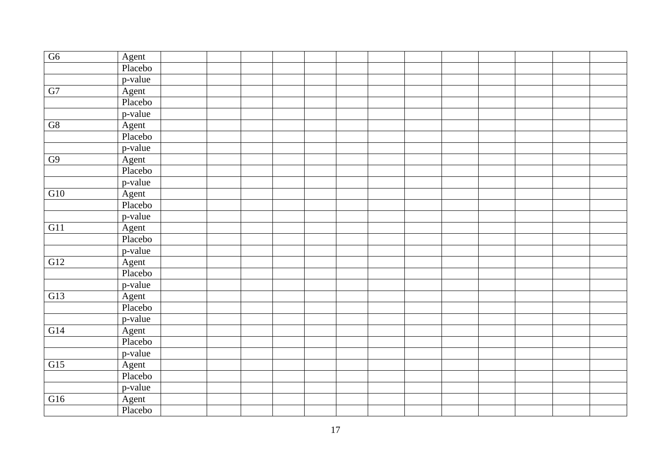| G6         | Agent   |  |  |  |  |  |  |  |
|------------|---------|--|--|--|--|--|--|--|
|            | Placebo |  |  |  |  |  |  |  |
|            | p-value |  |  |  |  |  |  |  |
| ${\rm G}7$ | Agent   |  |  |  |  |  |  |  |
|            | Placebo |  |  |  |  |  |  |  |
|            | p-value |  |  |  |  |  |  |  |
| G8         | Agent   |  |  |  |  |  |  |  |
|            | Placebo |  |  |  |  |  |  |  |
|            | p-value |  |  |  |  |  |  |  |
| ${\rm G}9$ | Agent   |  |  |  |  |  |  |  |
|            | Placebo |  |  |  |  |  |  |  |
|            | p-value |  |  |  |  |  |  |  |
| G10        | Agent   |  |  |  |  |  |  |  |
|            | Placebo |  |  |  |  |  |  |  |
|            | p-value |  |  |  |  |  |  |  |
| G11        | Agent   |  |  |  |  |  |  |  |
|            | Placebo |  |  |  |  |  |  |  |
|            | p-value |  |  |  |  |  |  |  |
| G12        | Agent   |  |  |  |  |  |  |  |
|            | Placebo |  |  |  |  |  |  |  |
|            | p-value |  |  |  |  |  |  |  |
| G13        | Agent   |  |  |  |  |  |  |  |
|            | Placebo |  |  |  |  |  |  |  |
|            | p-value |  |  |  |  |  |  |  |
| G14        | Agent   |  |  |  |  |  |  |  |
|            | Placebo |  |  |  |  |  |  |  |
|            | p-value |  |  |  |  |  |  |  |
| G15        | Agent   |  |  |  |  |  |  |  |
|            | Placebo |  |  |  |  |  |  |  |
|            | p-value |  |  |  |  |  |  |  |
| G16        | Agent   |  |  |  |  |  |  |  |
|            | Placebo |  |  |  |  |  |  |  |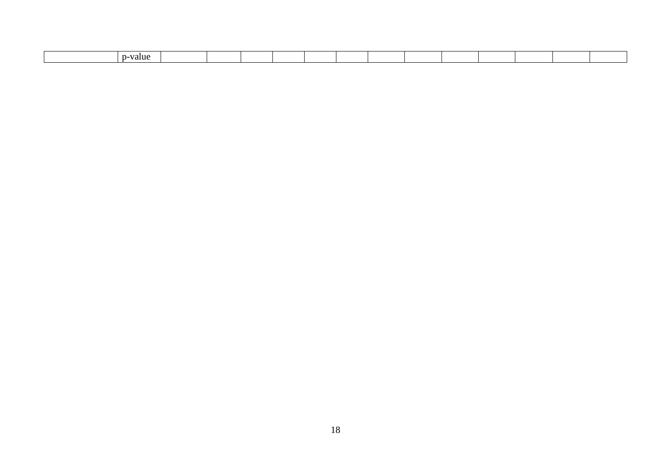| value |  |  |  |  |  |  |
|-------|--|--|--|--|--|--|
|       |  |  |  |  |  |  |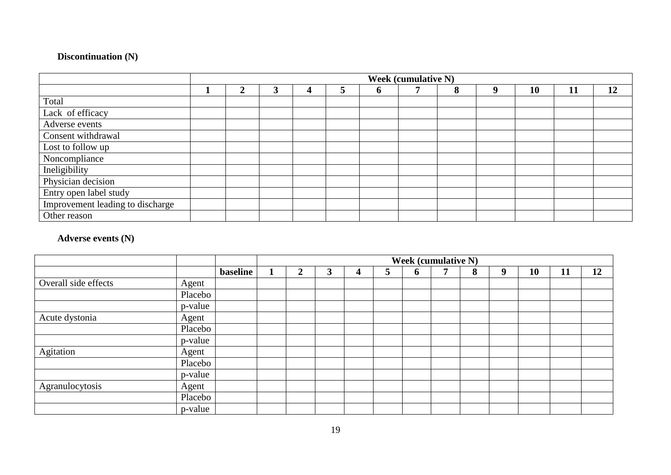# **Discontinuation (N)**

|                                  |   |  |   |   | <b>Week (cumulative N)</b> |   |   |    |    |    |
|----------------------------------|---|--|---|---|----------------------------|---|---|----|----|----|
|                                  | 2 |  | 5 | n |                            | 8 | ч | 10 | 11 | 12 |
| Total                            |   |  |   |   |                            |   |   |    |    |    |
| Lack of efficacy                 |   |  |   |   |                            |   |   |    |    |    |
| Adverse events                   |   |  |   |   |                            |   |   |    |    |    |
| Consent withdrawal               |   |  |   |   |                            |   |   |    |    |    |
| Lost to follow up                |   |  |   |   |                            |   |   |    |    |    |
| Noncompliance                    |   |  |   |   |                            |   |   |    |    |    |
| Ineligibility                    |   |  |   |   |                            |   |   |    |    |    |
| Physician decision               |   |  |   |   |                            |   |   |    |    |    |
| Entry open label study           |   |  |   |   |                            |   |   |    |    |    |
| Improvement leading to discharge |   |  |   |   |                            |   |   |    |    |    |
| Other reason                     |   |  |   |   |                            |   |   |    |    |    |

# **Adverse events (N)**

|                      |         |          |                |   |              |   | <b>Week (cumulative N)</b> |   |   |    |    |    |
|----------------------|---------|----------|----------------|---|--------------|---|----------------------------|---|---|----|----|----|
|                      |         | baseline | $\overline{2}$ | 3 | $\mathbf{z}$ | 6 |                            | 8 | 9 | 10 | 11 | 12 |
| Overall side effects | Agent   |          |                |   |              |   |                            |   |   |    |    |    |
|                      | Placebo |          |                |   |              |   |                            |   |   |    |    |    |
|                      | p-value |          |                |   |              |   |                            |   |   |    |    |    |
| Acute dystonia       | Agent   |          |                |   |              |   |                            |   |   |    |    |    |
|                      | Placebo |          |                |   |              |   |                            |   |   |    |    |    |
|                      | p-value |          |                |   |              |   |                            |   |   |    |    |    |
| Agitation            | Agent   |          |                |   |              |   |                            |   |   |    |    |    |
|                      | Placebo |          |                |   |              |   |                            |   |   |    |    |    |
|                      | p-value |          |                |   |              |   |                            |   |   |    |    |    |
| Agranulocytosis      | Agent   |          |                |   |              |   |                            |   |   |    |    |    |
|                      | Placebo |          |                |   |              |   |                            |   |   |    |    |    |
|                      | p-value |          |                |   |              |   |                            |   |   |    |    |    |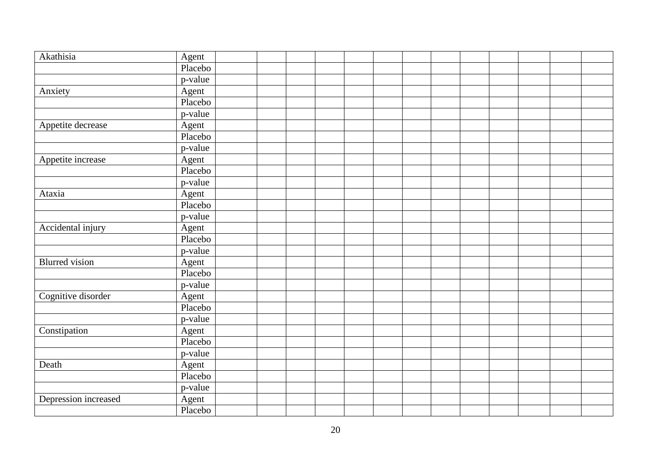| Akathisia             | Agent   |  |  |  |  |  |  |  |
|-----------------------|---------|--|--|--|--|--|--|--|
|                       | Placebo |  |  |  |  |  |  |  |
|                       | p-value |  |  |  |  |  |  |  |
| Anxiety               | Agent   |  |  |  |  |  |  |  |
|                       | Placebo |  |  |  |  |  |  |  |
|                       | p-value |  |  |  |  |  |  |  |
| Appetite decrease     | Agent   |  |  |  |  |  |  |  |
|                       | Placebo |  |  |  |  |  |  |  |
|                       | p-value |  |  |  |  |  |  |  |
| Appetite increase     | Agent   |  |  |  |  |  |  |  |
|                       | Placebo |  |  |  |  |  |  |  |
|                       | p-value |  |  |  |  |  |  |  |
| Ataxia                | Agent   |  |  |  |  |  |  |  |
|                       | Placebo |  |  |  |  |  |  |  |
|                       | p-value |  |  |  |  |  |  |  |
| Accidental injury     | Agent   |  |  |  |  |  |  |  |
|                       | Placebo |  |  |  |  |  |  |  |
|                       | p-value |  |  |  |  |  |  |  |
| <b>Blurred</b> vision | Agent   |  |  |  |  |  |  |  |
|                       | Placebo |  |  |  |  |  |  |  |
|                       | p-value |  |  |  |  |  |  |  |
| Cognitive disorder    | Agent   |  |  |  |  |  |  |  |
|                       | Placebo |  |  |  |  |  |  |  |
|                       | p-value |  |  |  |  |  |  |  |
| Constipation          | Agent   |  |  |  |  |  |  |  |
|                       | Placebo |  |  |  |  |  |  |  |
|                       | p-value |  |  |  |  |  |  |  |
| Death                 | Agent   |  |  |  |  |  |  |  |
|                       | Placebo |  |  |  |  |  |  |  |
|                       | p-value |  |  |  |  |  |  |  |
| Depression increased  | Agent   |  |  |  |  |  |  |  |
|                       | Placebo |  |  |  |  |  |  |  |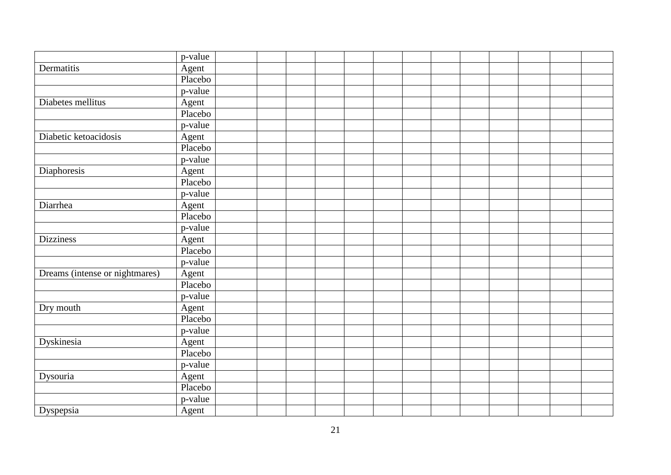|                                | p-value |  |  |  |  |  |  |  |
|--------------------------------|---------|--|--|--|--|--|--|--|
| Dermatitis                     | Agent   |  |  |  |  |  |  |  |
|                                | Placebo |  |  |  |  |  |  |  |
|                                | p-value |  |  |  |  |  |  |  |
| Diabetes mellitus              | Agent   |  |  |  |  |  |  |  |
|                                | Placebo |  |  |  |  |  |  |  |
|                                | p-value |  |  |  |  |  |  |  |
| Diabetic ketoacidosis          | Agent   |  |  |  |  |  |  |  |
|                                | Placebo |  |  |  |  |  |  |  |
|                                | p-value |  |  |  |  |  |  |  |
| Diaphoresis                    | Agent   |  |  |  |  |  |  |  |
|                                | Placebo |  |  |  |  |  |  |  |
|                                | p-value |  |  |  |  |  |  |  |
| Diarrhea                       | Agent   |  |  |  |  |  |  |  |
|                                | Placebo |  |  |  |  |  |  |  |
|                                | p-value |  |  |  |  |  |  |  |
| <b>Dizziness</b>               | Agent   |  |  |  |  |  |  |  |
|                                | Placebo |  |  |  |  |  |  |  |
|                                | p-value |  |  |  |  |  |  |  |
| Dreams (intense or nightmares) | Agent   |  |  |  |  |  |  |  |
|                                | Placebo |  |  |  |  |  |  |  |
|                                | p-value |  |  |  |  |  |  |  |
| Dry mouth                      | Agent   |  |  |  |  |  |  |  |
|                                | Placebo |  |  |  |  |  |  |  |
|                                | p-value |  |  |  |  |  |  |  |
| <b>Dyskinesia</b>              | Agent   |  |  |  |  |  |  |  |
|                                | Placebo |  |  |  |  |  |  |  |
|                                | p-value |  |  |  |  |  |  |  |
| Dysouria                       | Agent   |  |  |  |  |  |  |  |
|                                | Placebo |  |  |  |  |  |  |  |
|                                | p-value |  |  |  |  |  |  |  |
| Dyspepsia                      | Agent   |  |  |  |  |  |  |  |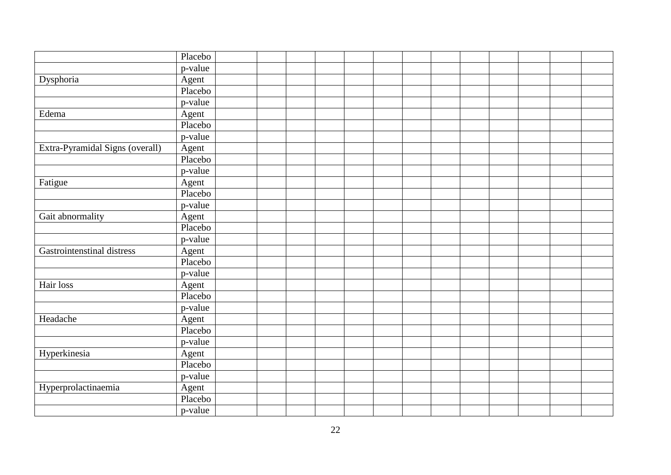| p-value<br>Dysphoria<br>Agent<br>Placebo<br>p-value<br>Edema<br>Agent<br>Placebo<br>p-value | Placebo |  |  |  |  |  |  |  |
|---------------------------------------------------------------------------------------------|---------|--|--|--|--|--|--|--|
|                                                                                             |         |  |  |  |  |  |  |  |
|                                                                                             |         |  |  |  |  |  |  |  |
|                                                                                             |         |  |  |  |  |  |  |  |
|                                                                                             |         |  |  |  |  |  |  |  |
|                                                                                             |         |  |  |  |  |  |  |  |
|                                                                                             |         |  |  |  |  |  |  |  |
|                                                                                             |         |  |  |  |  |  |  |  |
|                                                                                             |         |  |  |  |  |  |  |  |
| Extra-Pyramidal Signs (overall)<br>Agent                                                    |         |  |  |  |  |  |  |  |
| Placebo                                                                                     |         |  |  |  |  |  |  |  |
| p-value                                                                                     |         |  |  |  |  |  |  |  |
| Fatigue<br>Agent                                                                            |         |  |  |  |  |  |  |  |
| Placebo                                                                                     |         |  |  |  |  |  |  |  |
| p-value                                                                                     |         |  |  |  |  |  |  |  |
| Gait abnormality<br>Agent                                                                   |         |  |  |  |  |  |  |  |
| Placebo                                                                                     |         |  |  |  |  |  |  |  |
| p-value                                                                                     |         |  |  |  |  |  |  |  |
| Gastrointenstinal distress<br>Agent                                                         |         |  |  |  |  |  |  |  |
| Placebo                                                                                     |         |  |  |  |  |  |  |  |
| p-value                                                                                     |         |  |  |  |  |  |  |  |
| Hair loss<br>Agent                                                                          |         |  |  |  |  |  |  |  |
| Placebo                                                                                     |         |  |  |  |  |  |  |  |
| p-value                                                                                     |         |  |  |  |  |  |  |  |
| Headache<br>Agent                                                                           |         |  |  |  |  |  |  |  |
| Placebo                                                                                     |         |  |  |  |  |  |  |  |
| p-value                                                                                     |         |  |  |  |  |  |  |  |
| Hyperkinesia<br>Agent                                                                       |         |  |  |  |  |  |  |  |
| Placebo                                                                                     |         |  |  |  |  |  |  |  |
| p-value                                                                                     |         |  |  |  |  |  |  |  |
| Hyperprolactinaemia<br>Agent                                                                |         |  |  |  |  |  |  |  |
| Placebo                                                                                     |         |  |  |  |  |  |  |  |
| p-value                                                                                     |         |  |  |  |  |  |  |  |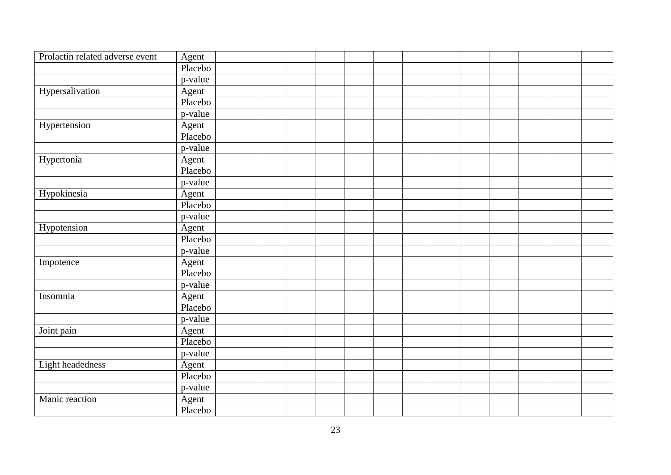| Prolactin related adverse event | Agent     |  |  |  |  |  |  |  |
|---------------------------------|-----------|--|--|--|--|--|--|--|
|                                 | Placebo   |  |  |  |  |  |  |  |
|                                 | p-value   |  |  |  |  |  |  |  |
| Hypersalivation                 | Agent     |  |  |  |  |  |  |  |
|                                 | Placebo   |  |  |  |  |  |  |  |
|                                 | p-value   |  |  |  |  |  |  |  |
| Hypertension                    | Agent     |  |  |  |  |  |  |  |
|                                 | Placebo   |  |  |  |  |  |  |  |
|                                 | p-value   |  |  |  |  |  |  |  |
| Hypertonia                      | Agent     |  |  |  |  |  |  |  |
|                                 | Placebo   |  |  |  |  |  |  |  |
|                                 | p-value   |  |  |  |  |  |  |  |
| Hypokinesia                     | Agent     |  |  |  |  |  |  |  |
|                                 | Placebo   |  |  |  |  |  |  |  |
|                                 | p-value   |  |  |  |  |  |  |  |
| Hypotension                     | Agent     |  |  |  |  |  |  |  |
|                                 | Placebo   |  |  |  |  |  |  |  |
|                                 | p-value   |  |  |  |  |  |  |  |
| Impotence                       | Agent     |  |  |  |  |  |  |  |
|                                 | Placebo   |  |  |  |  |  |  |  |
|                                 | $p-value$ |  |  |  |  |  |  |  |
| Insomnia                        | Agent     |  |  |  |  |  |  |  |
|                                 | Placebo   |  |  |  |  |  |  |  |
|                                 | p-value   |  |  |  |  |  |  |  |
| Joint pain                      | Agent     |  |  |  |  |  |  |  |
|                                 | Placebo   |  |  |  |  |  |  |  |
|                                 | p-value   |  |  |  |  |  |  |  |
| Light headedness                | Agent     |  |  |  |  |  |  |  |
|                                 | Placebo   |  |  |  |  |  |  |  |
|                                 | p-value   |  |  |  |  |  |  |  |
| Manic reaction                  | Agent     |  |  |  |  |  |  |  |
|                                 | Placebo   |  |  |  |  |  |  |  |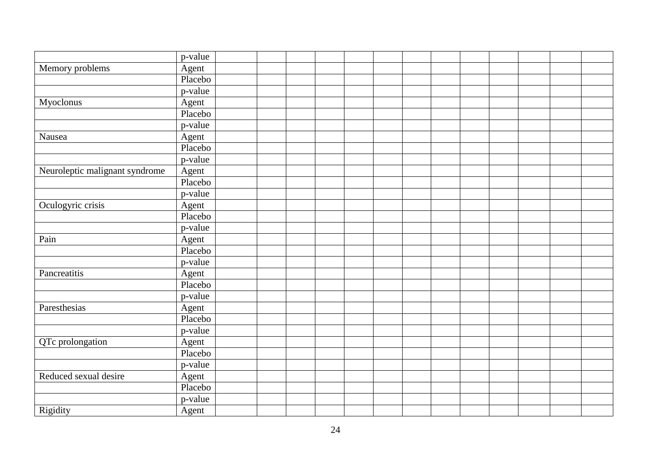|                                | p-value |  |  |  |  |  |  |  |
|--------------------------------|---------|--|--|--|--|--|--|--|
| Memory problems                | Agent   |  |  |  |  |  |  |  |
|                                | Placebo |  |  |  |  |  |  |  |
|                                | p-value |  |  |  |  |  |  |  |
| Myoclonus                      | Agent   |  |  |  |  |  |  |  |
|                                | Placebo |  |  |  |  |  |  |  |
|                                | p-value |  |  |  |  |  |  |  |
| Nausea                         | Agent   |  |  |  |  |  |  |  |
|                                | Placebo |  |  |  |  |  |  |  |
|                                | p-value |  |  |  |  |  |  |  |
| Neuroleptic malignant syndrome | Agent   |  |  |  |  |  |  |  |
|                                | Placebo |  |  |  |  |  |  |  |
|                                | p-value |  |  |  |  |  |  |  |
| Oculogyric crisis              | Agent   |  |  |  |  |  |  |  |
|                                | Placebo |  |  |  |  |  |  |  |
|                                | p-value |  |  |  |  |  |  |  |
| Pain                           | Agent   |  |  |  |  |  |  |  |
|                                | Placebo |  |  |  |  |  |  |  |
|                                | p-value |  |  |  |  |  |  |  |
| Pancreatitis                   | Agent   |  |  |  |  |  |  |  |
|                                | Placebo |  |  |  |  |  |  |  |
|                                | p-value |  |  |  |  |  |  |  |
| Paresthesias                   | Agent   |  |  |  |  |  |  |  |
|                                | Placebo |  |  |  |  |  |  |  |
|                                | p-value |  |  |  |  |  |  |  |
| QTc prolongation               | Agent   |  |  |  |  |  |  |  |
|                                | Placebo |  |  |  |  |  |  |  |
|                                | p-value |  |  |  |  |  |  |  |
| Reduced sexual desire          | Agent   |  |  |  |  |  |  |  |
|                                | Placebo |  |  |  |  |  |  |  |
|                                | p-value |  |  |  |  |  |  |  |
| Rigidity                       | Agent   |  |  |  |  |  |  |  |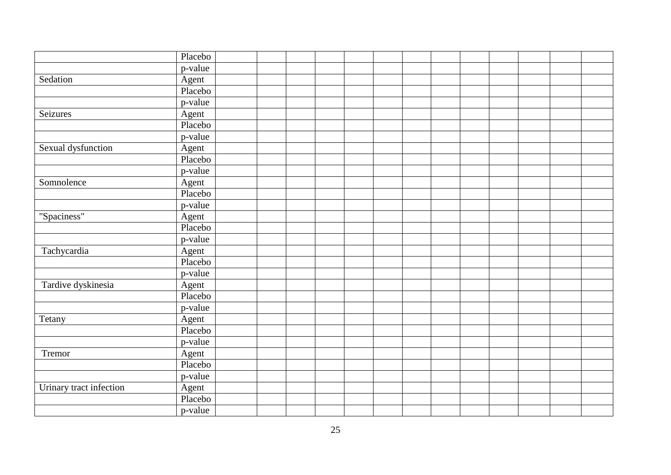|                         | Placebo |  |  |  |  |  |  |  |
|-------------------------|---------|--|--|--|--|--|--|--|
|                         | p-value |  |  |  |  |  |  |  |
| Sedation                | Agent   |  |  |  |  |  |  |  |
|                         | Placebo |  |  |  |  |  |  |  |
|                         | p-value |  |  |  |  |  |  |  |
| Seizures                | Agent   |  |  |  |  |  |  |  |
|                         | Placebo |  |  |  |  |  |  |  |
|                         | p-value |  |  |  |  |  |  |  |
| Sexual dysfunction      | Agent   |  |  |  |  |  |  |  |
|                         | Placebo |  |  |  |  |  |  |  |
|                         | p-value |  |  |  |  |  |  |  |
| Somnolence              | Agent   |  |  |  |  |  |  |  |
|                         | Placebo |  |  |  |  |  |  |  |
|                         | p-value |  |  |  |  |  |  |  |
| "Spaciness"             | Agent   |  |  |  |  |  |  |  |
|                         | Placebo |  |  |  |  |  |  |  |
|                         | p-value |  |  |  |  |  |  |  |
| Tachycardia             | Agent   |  |  |  |  |  |  |  |
|                         | Placebo |  |  |  |  |  |  |  |
|                         | p-value |  |  |  |  |  |  |  |
| Tardive dyskinesia      | Agent   |  |  |  |  |  |  |  |
|                         | Placebo |  |  |  |  |  |  |  |
|                         | p-value |  |  |  |  |  |  |  |
| Tetany                  | Agent   |  |  |  |  |  |  |  |
|                         | Placebo |  |  |  |  |  |  |  |
|                         | p-value |  |  |  |  |  |  |  |
| Tremor                  | Agent   |  |  |  |  |  |  |  |
|                         | Placebo |  |  |  |  |  |  |  |
|                         | p-value |  |  |  |  |  |  |  |
| Urinary tract infection | Agent   |  |  |  |  |  |  |  |
|                         | Placebo |  |  |  |  |  |  |  |
|                         | p-value |  |  |  |  |  |  |  |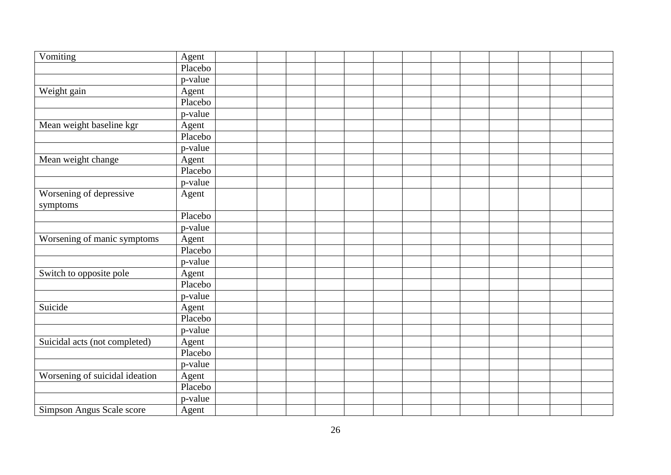| Vomiting                       | Agent   |  |  |  |  |  |  |  |
|--------------------------------|---------|--|--|--|--|--|--|--|
|                                | Placebo |  |  |  |  |  |  |  |
|                                | p-value |  |  |  |  |  |  |  |
| Weight gain                    | Agent   |  |  |  |  |  |  |  |
|                                | Placebo |  |  |  |  |  |  |  |
|                                | p-value |  |  |  |  |  |  |  |
| Mean weight baseline kgr       | Agent   |  |  |  |  |  |  |  |
|                                | Placebo |  |  |  |  |  |  |  |
|                                | p-value |  |  |  |  |  |  |  |
| Mean weight change             | Agent   |  |  |  |  |  |  |  |
|                                | Placebo |  |  |  |  |  |  |  |
|                                | p-value |  |  |  |  |  |  |  |
| Worsening of depressive        | Agent   |  |  |  |  |  |  |  |
| symptoms                       |         |  |  |  |  |  |  |  |
|                                | Placebo |  |  |  |  |  |  |  |
|                                | p-value |  |  |  |  |  |  |  |
| Worsening of manic symptoms    | Agent   |  |  |  |  |  |  |  |
|                                | Placebo |  |  |  |  |  |  |  |
|                                | p-value |  |  |  |  |  |  |  |
| Switch to opposite pole        | Agent   |  |  |  |  |  |  |  |
|                                | Placebo |  |  |  |  |  |  |  |
|                                | p-value |  |  |  |  |  |  |  |
| Suicide                        | Agent   |  |  |  |  |  |  |  |
|                                | Placebo |  |  |  |  |  |  |  |
|                                | p-value |  |  |  |  |  |  |  |
| Suicidal acts (not completed)  | Agent   |  |  |  |  |  |  |  |
|                                | Placebo |  |  |  |  |  |  |  |
|                                | p-value |  |  |  |  |  |  |  |
| Worsening of suicidal ideation | Agent   |  |  |  |  |  |  |  |
|                                | Placebo |  |  |  |  |  |  |  |
|                                | p-value |  |  |  |  |  |  |  |
| Simpson Angus Scale score      | Agent   |  |  |  |  |  |  |  |